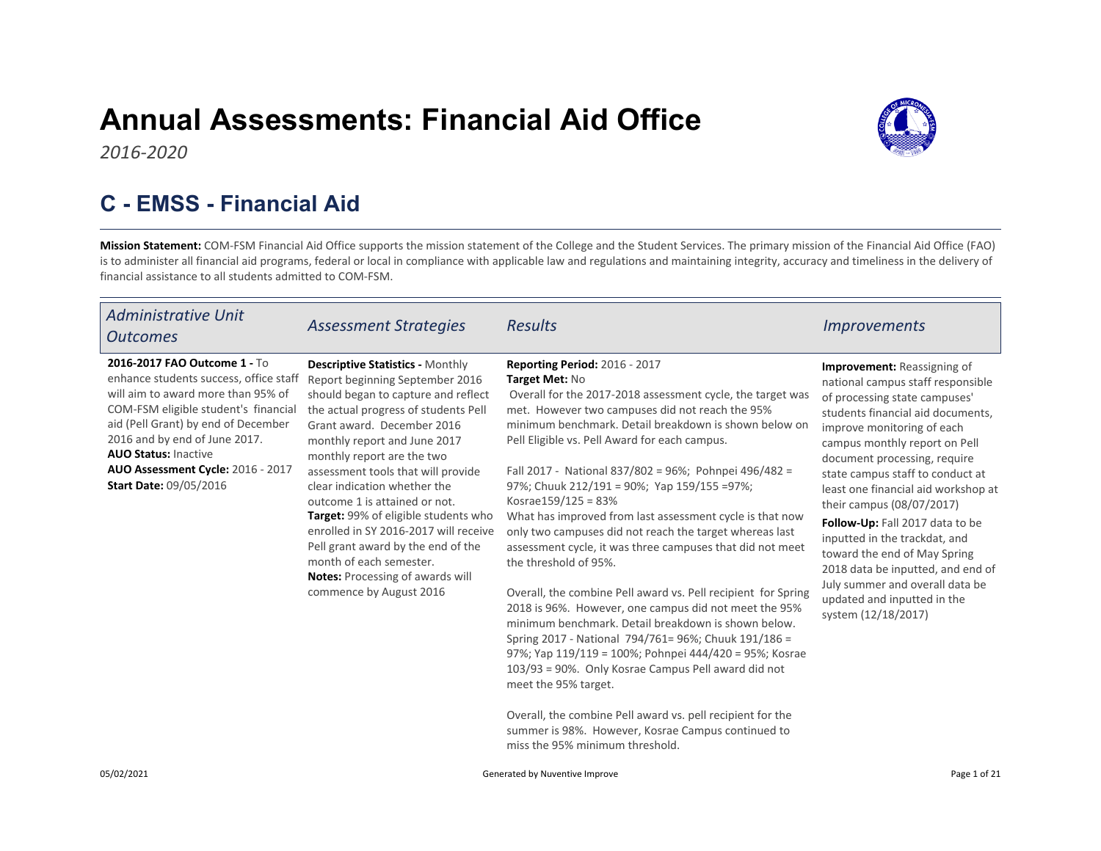# Annual Assessments: Financial Aid Office



## C - EMSS - Financial Aid

Mission Statement: COM-FSM Financial Aid Office supports the mission statement of the College and the Student Services. The primary mission of the Financial Aid Office (FAO) is to administer all financial aid programs, federal or local in compliance with applicable law and regulations and maintaining integrity, accuracy and timeliness in the delivery of financial assistance to all students admitted to COM-FSM.

| <b>Administrative Unit</b><br><b>Outcomes</b>                                                                                                                                                                                                                                                                                     | <b>Assessment Strategies</b>                                                                                                                                                                                                                                                                                                                                                                                                                                                                                                                                                  | <b>Results</b>                                                                                                                                                                                                                                                                                                                                                                                                                                                                                                                                                                                                                                                                                                                                                                                                                                                                                                                                                                                                                                                                                                                                                             | <i><u><b>Improvements</b></u></i>                                                                                                                                                                                                                                                                                                                                                                                                                                                                                                                                                      |
|-----------------------------------------------------------------------------------------------------------------------------------------------------------------------------------------------------------------------------------------------------------------------------------------------------------------------------------|-------------------------------------------------------------------------------------------------------------------------------------------------------------------------------------------------------------------------------------------------------------------------------------------------------------------------------------------------------------------------------------------------------------------------------------------------------------------------------------------------------------------------------------------------------------------------------|----------------------------------------------------------------------------------------------------------------------------------------------------------------------------------------------------------------------------------------------------------------------------------------------------------------------------------------------------------------------------------------------------------------------------------------------------------------------------------------------------------------------------------------------------------------------------------------------------------------------------------------------------------------------------------------------------------------------------------------------------------------------------------------------------------------------------------------------------------------------------------------------------------------------------------------------------------------------------------------------------------------------------------------------------------------------------------------------------------------------------------------------------------------------------|----------------------------------------------------------------------------------------------------------------------------------------------------------------------------------------------------------------------------------------------------------------------------------------------------------------------------------------------------------------------------------------------------------------------------------------------------------------------------------------------------------------------------------------------------------------------------------------|
| 2016-2017 FAO Outcome 1 - To<br>enhance students success, office staff<br>will aim to award more than 95% of<br>COM-FSM eligible student's financial<br>aid (Pell Grant) by end of December<br>2016 and by end of June 2017.<br><b>AUO Status: Inactive</b><br>AUO Assessment Cycle: 2016 - 2017<br><b>Start Date: 09/05/2016</b> | <b>Descriptive Statistics - Monthly</b><br>Report beginning September 2016<br>should began to capture and reflect<br>the actual progress of students Pell<br>Grant award. December 2016<br>monthly report and June 2017<br>monthly report are the two<br>assessment tools that will provide<br>clear indication whether the<br>outcome 1 is attained or not.<br>Target: 99% of eligible students who<br>enrolled in SY 2016-2017 will receive<br>Pell grant award by the end of the<br>month of each semester.<br>Notes: Processing of awards will<br>commence by August 2016 | <b>Reporting Period: 2016 - 2017</b><br>Target Met: No<br>Overall for the 2017-2018 assessment cycle, the target was<br>met. However two campuses did not reach the 95%<br>minimum benchmark. Detail breakdown is shown below on<br>Pell Eligible vs. Pell Award for each campus.<br>Fall 2017 - National 837/802 = 96%; Pohnpei 496/482 =<br>97%; Chuuk 212/191 = 90%; Yap 159/155 = 97%;<br>Kosrae $159/125 = 83%$<br>What has improved from last assessment cycle is that now<br>only two campuses did not reach the target whereas last<br>assessment cycle, it was three campuses that did not meet<br>the threshold of 95%.<br>Overall, the combine Pell award vs. Pell recipient for Spring<br>2018 is 96%. However, one campus did not meet the 95%<br>minimum benchmark. Detail breakdown is shown below.<br>Spring 2017 - National 794/761= 96%; Chuuk 191/186 =<br>97%; Yap 119/119 = 100%; Pohnpei 444/420 = 95%; Kosrae<br>103/93 = 90%. Only Kosrae Campus Pell award did not<br>meet the 95% target.<br>Overall, the combine Pell award vs. pell recipient for the<br>summer is 98%. However, Kosrae Campus continued to<br>miss the 95% minimum threshold. | <b>Improvement:</b> Reassigning of<br>national campus staff responsible<br>of processing state campuses'<br>students financial aid documents,<br>improve monitoring of each<br>campus monthly report on Pell<br>document processing, require<br>state campus staff to conduct at<br>least one financial aid workshop at<br>their campus (08/07/2017)<br>Follow-Up: Fall 2017 data to be<br>inputted in the trackdat, and<br>toward the end of May Spring<br>2018 data be inputted, and end of<br>July summer and overall data be<br>updated and inputted in the<br>system (12/18/2017) |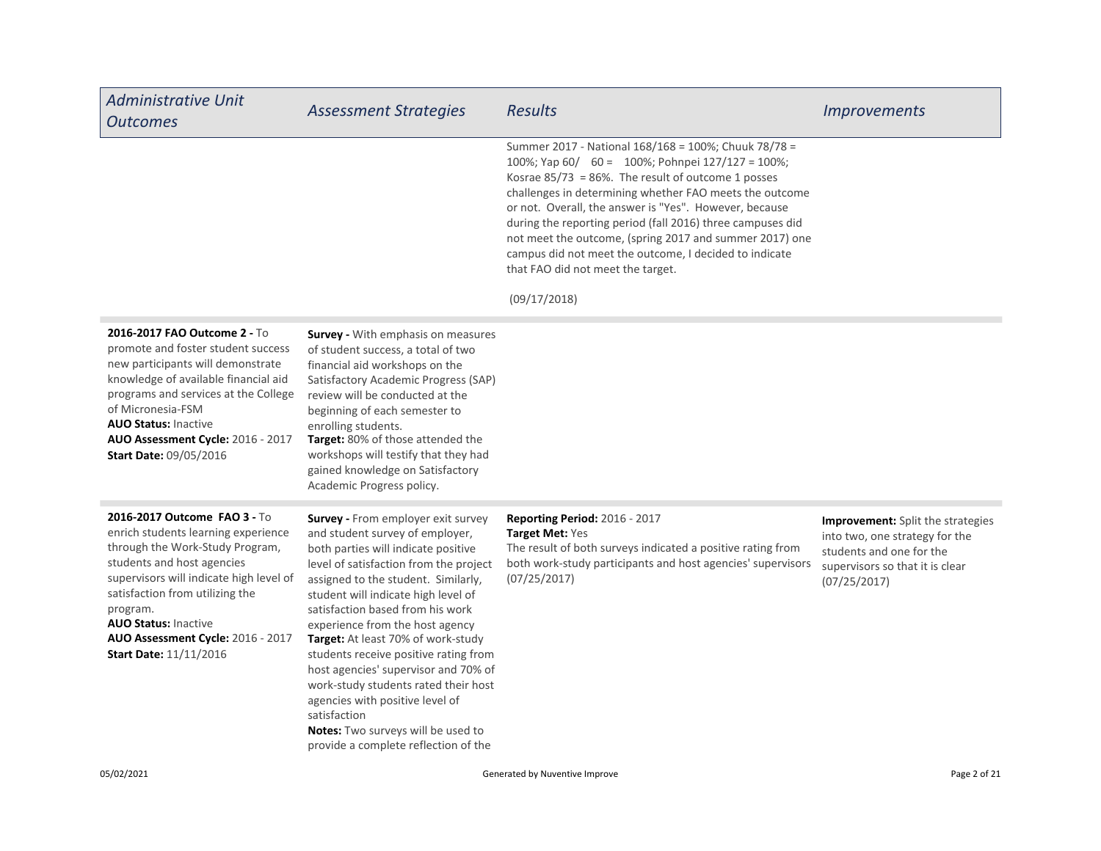| <b>Administrative Unit</b><br><b>Outcomes</b>                                                                                                                                                                                                                                                                                       | <b>Assessment Strategies</b>                                                                                                                                                                                                                                                                                                                                                                                                                                                                                                                                                                                       | <b>Results</b>                                                                                                                                                                                                                                                                                                                                                                                                                                                                                                                  | <b>Improvements</b>                                                                                                                                       |
|-------------------------------------------------------------------------------------------------------------------------------------------------------------------------------------------------------------------------------------------------------------------------------------------------------------------------------------|--------------------------------------------------------------------------------------------------------------------------------------------------------------------------------------------------------------------------------------------------------------------------------------------------------------------------------------------------------------------------------------------------------------------------------------------------------------------------------------------------------------------------------------------------------------------------------------------------------------------|---------------------------------------------------------------------------------------------------------------------------------------------------------------------------------------------------------------------------------------------------------------------------------------------------------------------------------------------------------------------------------------------------------------------------------------------------------------------------------------------------------------------------------|-----------------------------------------------------------------------------------------------------------------------------------------------------------|
|                                                                                                                                                                                                                                                                                                                                     |                                                                                                                                                                                                                                                                                                                                                                                                                                                                                                                                                                                                                    | Summer 2017 - National 168/168 = 100%; Chuuk 78/78 =<br>100%; Yap 60/ 60 = 100%; Pohnpei 127/127 = 100%;<br>Kosrae $85/73 = 86\%$ . The result of outcome 1 posses<br>challenges in determining whether FAO meets the outcome<br>or not. Overall, the answer is "Yes". However, because<br>during the reporting period (fall 2016) three campuses did<br>not meet the outcome, (spring 2017 and summer 2017) one<br>campus did not meet the outcome, I decided to indicate<br>that FAO did not meet the target.<br>(09/17/2018) |                                                                                                                                                           |
| 2016-2017 FAO Outcome 2 - To<br>promote and foster student success<br>new participants will demonstrate<br>knowledge of available financial aid<br>programs and services at the College<br>of Micronesia-FSM<br><b>AUO Status: Inactive</b><br>AUO Assessment Cycle: 2016 - 2017<br>Start Date: 09/05/2016                          | <b>Survey -</b> With emphasis on measures<br>of student success, a total of two<br>financial aid workshops on the<br>Satisfactory Academic Progress (SAP)<br>review will be conducted at the<br>beginning of each semester to<br>enrolling students.<br>Target: 80% of those attended the<br>workshops will testify that they had<br>gained knowledge on Satisfactory<br>Academic Progress policy.                                                                                                                                                                                                                 |                                                                                                                                                                                                                                                                                                                                                                                                                                                                                                                                 |                                                                                                                                                           |
| 2016-2017 Outcome FAO 3 - To<br>enrich students learning experience<br>through the Work-Study Program,<br>students and host agencies<br>supervisors will indicate high level of<br>satisfaction from utilizing the<br>program.<br><b>AUO Status: Inactive</b><br>AUO Assessment Cycle: 2016 - 2017<br><b>Start Date: 11/11/2016</b> | <b>Survey - From employer exit survey</b><br>and student survey of employer,<br>both parties will indicate positive<br>level of satisfaction from the project<br>assigned to the student. Similarly,<br>student will indicate high level of<br>satisfaction based from his work<br>experience from the host agency<br>Target: At least 70% of work-study<br>students receive positive rating from<br>host agencies' supervisor and 70% of<br>work-study students rated their host<br>agencies with positive level of<br>satisfaction<br>Notes: Two surveys will be used to<br>provide a complete reflection of the | <b>Reporting Period: 2016 - 2017</b><br>Target Met: Yes<br>The result of both surveys indicated a positive rating from<br>both work-study participants and host agencies' supervisors<br>(07/25/2017)                                                                                                                                                                                                                                                                                                                           | <b>Improvement:</b> Split the strategies<br>into two, one strategy for the<br>students and one for the<br>supervisors so that it is clear<br>(07/25/2017) |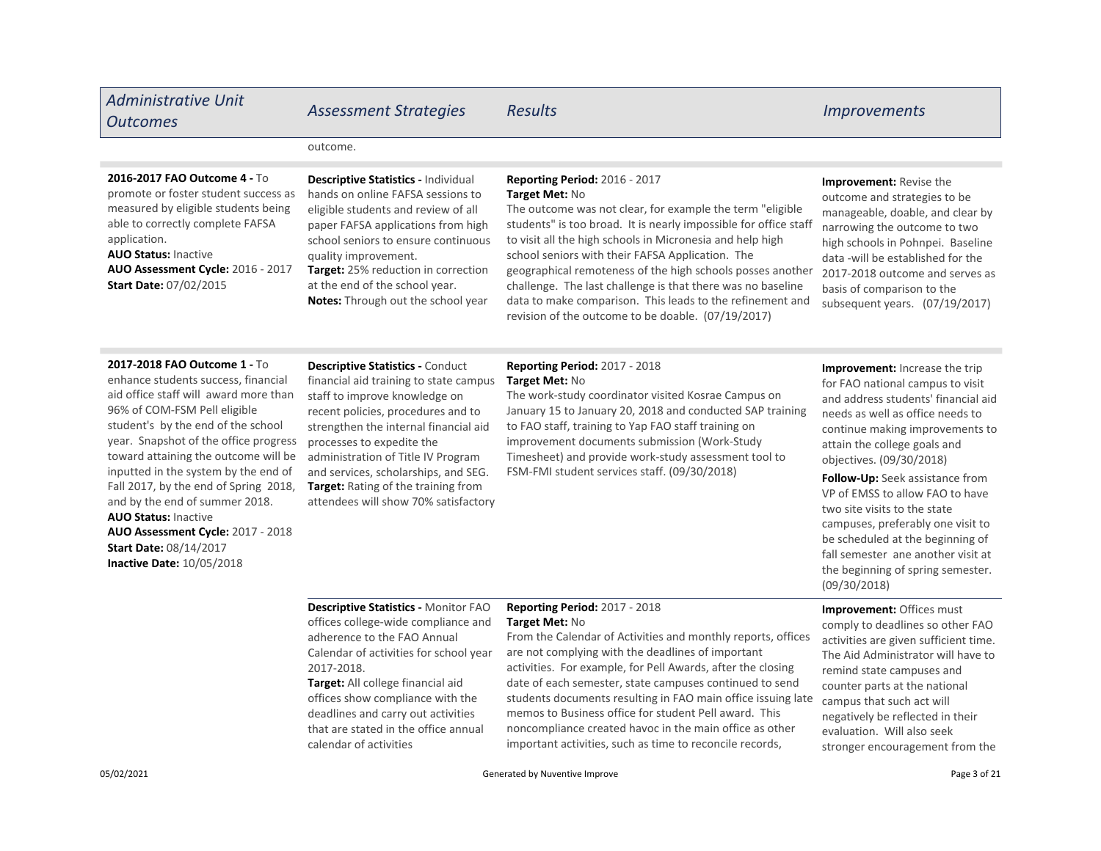| <b>Administrative Unit</b><br><b>Outcomes</b>                                                                                                                                                                                                                        | <b>Assessment Strategies</b>                                                                                                                                                                                                                                                                                                                      | <b>Results</b>                                                                                                                                                                                                                                                                                                                                                                                                                                                                                                                                            | <i><u><b>Improvements</b></u></i>                                                                                                                                                                                                                                                                        |
|----------------------------------------------------------------------------------------------------------------------------------------------------------------------------------------------------------------------------------------------------------------------|---------------------------------------------------------------------------------------------------------------------------------------------------------------------------------------------------------------------------------------------------------------------------------------------------------------------------------------------------|-----------------------------------------------------------------------------------------------------------------------------------------------------------------------------------------------------------------------------------------------------------------------------------------------------------------------------------------------------------------------------------------------------------------------------------------------------------------------------------------------------------------------------------------------------------|----------------------------------------------------------------------------------------------------------------------------------------------------------------------------------------------------------------------------------------------------------------------------------------------------------|
|                                                                                                                                                                                                                                                                      | outcome.                                                                                                                                                                                                                                                                                                                                          |                                                                                                                                                                                                                                                                                                                                                                                                                                                                                                                                                           |                                                                                                                                                                                                                                                                                                          |
| 2016-2017 FAO Outcome 4 - To<br>promote or foster student success as<br>measured by eligible students being<br>able to correctly complete FAFSA<br>application.<br><b>AUO Status: Inactive</b><br>AUO Assessment Cycle: 2016 - 2017<br><b>Start Date: 07/02/2015</b> | Descriptive Statistics - Individual<br>hands on online FAFSA sessions to<br>eligible students and review of all<br>paper FAFSA applications from high<br>school seniors to ensure continuous<br>quality improvement.<br><b>Target:</b> 25% reduction in correction<br>at the end of the school year.<br><b>Notes:</b> Through out the school year | <b>Reporting Period: 2016 - 2017</b><br>Target Met: No<br>The outcome was not clear, for example the term "eligible"<br>students" is too broad. It is nearly impossible for office staff<br>to visit all the high schools in Micronesia and help high<br>school seniors with their FAFSA Application. The<br>geographical remoteness of the high schools posses another<br>challenge. The last challenge is that there was no baseline<br>data to make comparison. This leads to the refinement and<br>revision of the outcome to be doable. (07/19/2017) | Improvement: Revise the<br>outcome and strategies to be<br>manageable, doable, and clear by<br>narrowing the outcome to two<br>high schools in Pohnpei. Baseline<br>data -will be established for the<br>2017-2018 outcome and serves as<br>basis of comparison to the<br>subsequent years. (07/19/2017) |
| 2017-2018 FAO Outcome 1 - To<br>enhance students success, financial<br>aid office staff will award more than<br>96% of COM-FSM Pell eligible<br>student's by the end of the school                                                                                   | <b>Descriptive Statistics - Conduct</b><br>financial aid training to state campus<br>staff to improve knowledge on<br>recent policies, procedures and to<br>strengthen the internal financial aid                                                                                                                                                 | <b>Reporting Period: 2017 - 2018</b><br>Target Met: No<br>The work-study coordinator visited Kosrae Campus on<br>January 15 to January 20, 2018 and conducted SAP training<br>to FAO staff, training to Yap FAO staff training on                                                                                                                                                                                                                                                                                                                         | Improvement: Increase the trip<br>for FAO national campus to visit<br>and address students' financial aid<br>needs as well as office needs to<br>continue making improvements to                                                                                                                         |

AUO Status: Inactive Inactive Date: 10/05/2018 AUO Assessment Cycle: 2017 - 2018 student's by the end of the school year. Snapshot of the office progress toward attaining the outcome will be inputted in the system by the end of Fall 2017, by the end of Spring 2018, and by the end of summer 2018. Start Date: 08/14/2017

## **Target:** Rating of the training from attendees will show 70% satisfactory strengthen the internal processes to expedite the administration of Title IV Program and services, scholarships, and SEG.

#### improvement documents submission (Work-Study Timesheet) and provide work-study assessment tool to FSM-FMI student services staff. (09/30/2018)

continue making improvements to attain the college goals and objectives. (09/30/2018)

Follow-Up: Seek assistance from VP of EMSS to allow FAO to have two site visits to the state campuses, preferably one visit to be scheduled at the beginning of fall semester ane another visit at the beginning of spring semester. (09/30/2018)

Descriptive Statistics - Monitor FAO offices college-wide compliance and adherence to the FAO Annual Calendar of activities for school year 2017-2018.

Target: All college financial aid offices show compliance with the deadlines and carry out activities that are stated in the office annual calendar of activities

### Reporting Period: 2017 - 2018 Target Met: No

From the Calendar of Activities and monthly reports, offices are not complying with the deadlines of important activities. For example, for Pell Awards, after the closing date of each semester, state campuses continued to send students documents resulting in FAO main office issuing late memos to Business office for student Pell award. This noncompliance created havoc in the main office as other important activities, such as time to reconcile records,

Improvement: Offices must comply to deadlines so other FAO activities are given sufficient time. The Aid Administrator will have to remind state campuses and counter parts at the national campus that such act will negatively be reflected in their evaluation. Will also seek stronger encouragement from the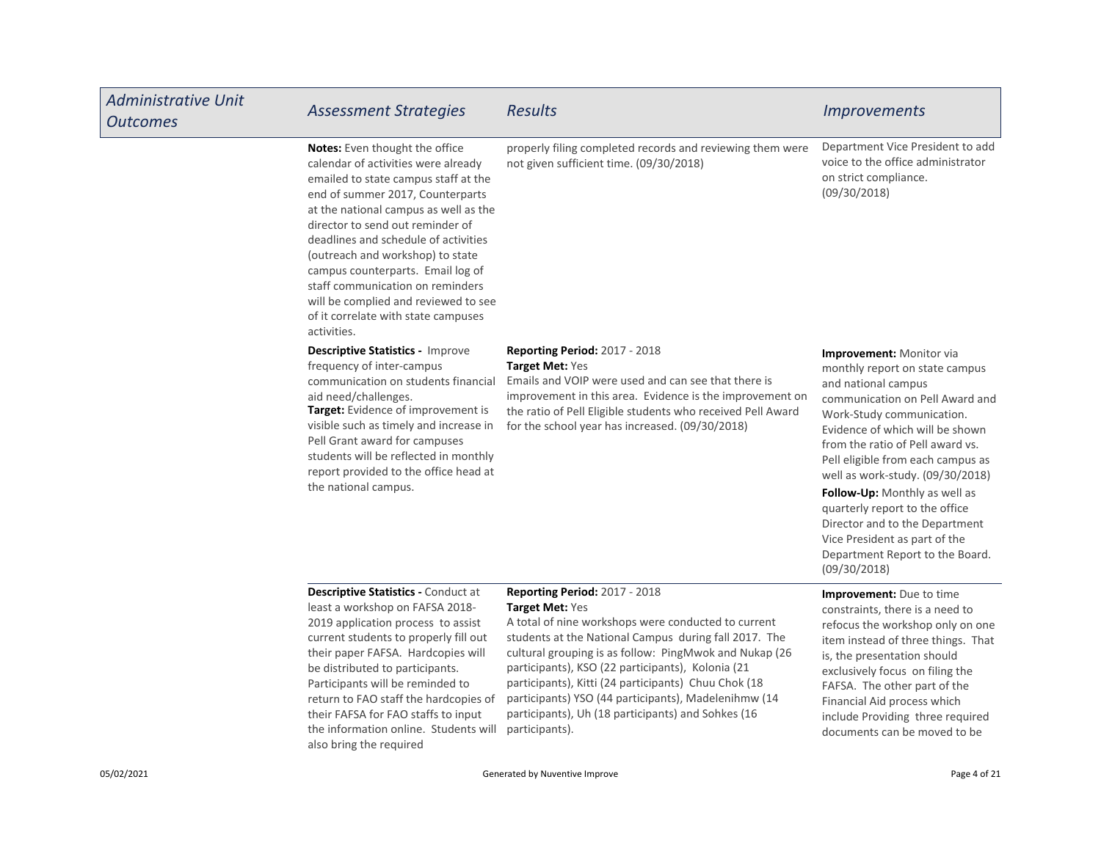| <b>Administrative Unit</b><br><b>Outcomes</b> | <b>Assessment Strategies</b>                                                                                                                                                                                                                                                                                                                                                                                                                                                      | <b>Results</b>                                                                                                                                                                                                                                                                                                                                                                                                                                                          | <i><u><b>Improvements</b></u></i>                                                                                                                                                                                                                                                                                                                                                                                                                                                          |
|-----------------------------------------------|-----------------------------------------------------------------------------------------------------------------------------------------------------------------------------------------------------------------------------------------------------------------------------------------------------------------------------------------------------------------------------------------------------------------------------------------------------------------------------------|-------------------------------------------------------------------------------------------------------------------------------------------------------------------------------------------------------------------------------------------------------------------------------------------------------------------------------------------------------------------------------------------------------------------------------------------------------------------------|--------------------------------------------------------------------------------------------------------------------------------------------------------------------------------------------------------------------------------------------------------------------------------------------------------------------------------------------------------------------------------------------------------------------------------------------------------------------------------------------|
|                                               | Notes: Even thought the office<br>calendar of activities were already<br>emailed to state campus staff at the<br>end of summer 2017, Counterparts<br>at the national campus as well as the<br>director to send out reminder of<br>deadlines and schedule of activities<br>(outreach and workshop) to state<br>campus counterparts. Email log of<br>staff communication on reminders<br>will be complied and reviewed to see<br>of it correlate with state campuses<br>activities. | properly filing completed records and reviewing them were<br>not given sufficient time. (09/30/2018)                                                                                                                                                                                                                                                                                                                                                                    | Department Vice President to add<br>voice to the office administrator<br>on strict compliance.<br>(09/30/2018)                                                                                                                                                                                                                                                                                                                                                                             |
|                                               | <b>Descriptive Statistics - Improve</b><br>frequency of inter-campus<br>communication on students financial<br>aid need/challenges.<br>Target: Evidence of improvement is<br>visible such as timely and increase in<br>Pell Grant award for campuses<br>students will be reflected in monthly<br>report provided to the office head at<br>the national campus.                                                                                                                    | <b>Reporting Period: 2017 - 2018</b><br><b>Target Met: Yes</b><br>Emails and VOIP were used and can see that there is<br>improvement in this area. Evidence is the improvement on<br>the ratio of Pell Eligible students who received Pell Award<br>for the school year has increased. (09/30/2018)                                                                                                                                                                     | Improvement: Monitor via<br>monthly report on state campus<br>and national campus<br>communication on Pell Award and<br>Work-Study communication.<br>Evidence of which will be shown<br>from the ratio of Pell award vs.<br>Pell eligible from each campus as<br>well as work-study. (09/30/2018)<br>Follow-Up: Monthly as well as<br>quarterly report to the office<br>Director and to the Department<br>Vice President as part of the<br>Department Report to the Board.<br>(09/30/2018) |
|                                               | Descriptive Statistics - Conduct at<br>least a workshop on FAFSA 2018-<br>2019 application process to assist<br>current students to properly fill out<br>their paper FAFSA. Hardcopies will<br>be distributed to participants.<br>Participants will be reminded to<br>return to FAO staff the hardcopies of<br>their FAFSA for FAO staffs to input<br>the information online. Students will<br>also bring the required                                                            | Reporting Period: 2017 - 2018<br>Target Met: Yes<br>A total of nine workshops were conducted to current<br>students at the National Campus during fall 2017. The<br>cultural grouping is as follow: PingMwok and Nukap (26<br>participants), KSO (22 participants), Kolonia (21<br>participants), Kitti (24 participants) Chuu Chok (18<br>participants) YSO (44 participants), Madelenihmw (14<br>participants), Uh (18 participants) and Sohkes (16<br>participants). | Improvement: Due to time<br>constraints, there is a need to<br>refocus the workshop only on one<br>item instead of three things. That<br>is, the presentation should<br>exclusively focus on filing the<br>FAFSA. The other part of the<br>Financial Aid process which<br>include Providing three required<br>documents can be moved to be                                                                                                                                                 |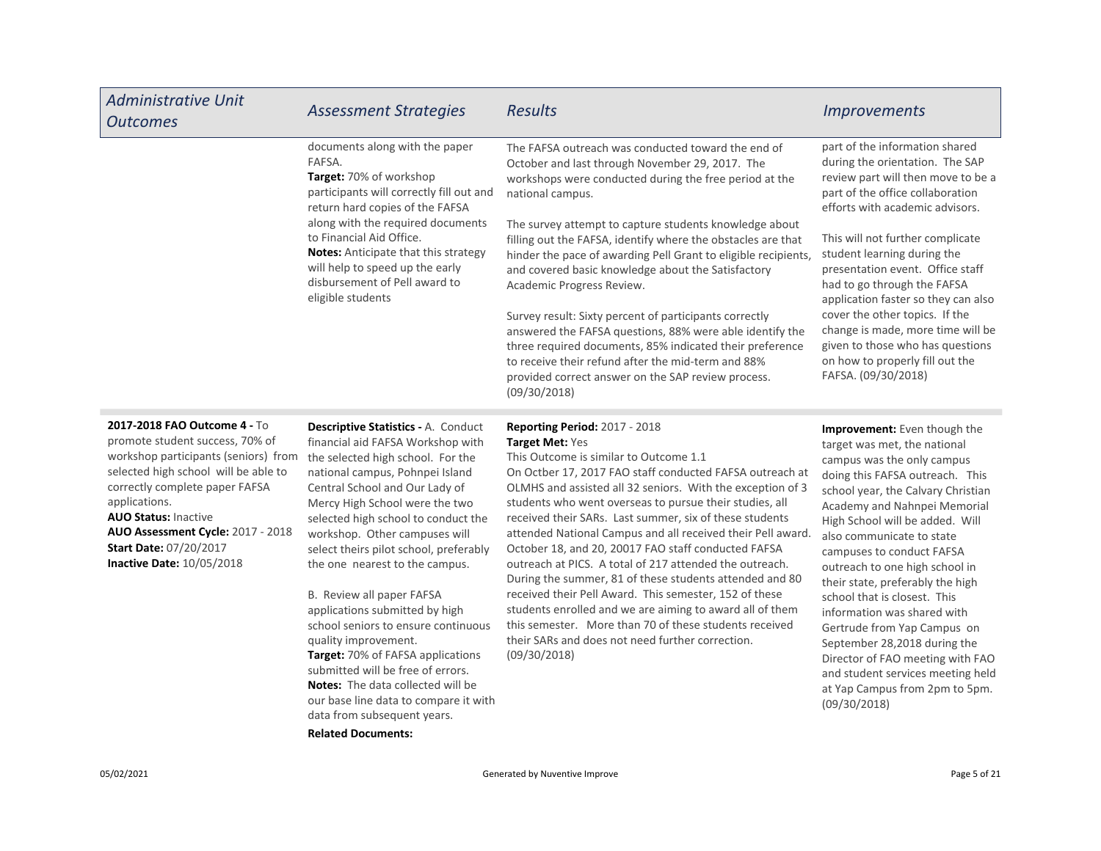| <b>Administrative Unit</b><br><b>Outcomes</b>                                                                                                                                                                                                                                                                                        | <b>Assessment Strategies</b>                                                                                                                                                                                                                                                                                                                                                                                                                                                          | <b>Results</b>                                                                                                                                                                                                                                                                                                                                                                                                                                                                                                                                                                                                                                                                                                                                                                | <i><b>Improvements</b></i>                                                                                                                                                                                                                                                                                                                                                                                                                                                  |
|--------------------------------------------------------------------------------------------------------------------------------------------------------------------------------------------------------------------------------------------------------------------------------------------------------------------------------------|---------------------------------------------------------------------------------------------------------------------------------------------------------------------------------------------------------------------------------------------------------------------------------------------------------------------------------------------------------------------------------------------------------------------------------------------------------------------------------------|-------------------------------------------------------------------------------------------------------------------------------------------------------------------------------------------------------------------------------------------------------------------------------------------------------------------------------------------------------------------------------------------------------------------------------------------------------------------------------------------------------------------------------------------------------------------------------------------------------------------------------------------------------------------------------------------------------------------------------------------------------------------------------|-----------------------------------------------------------------------------------------------------------------------------------------------------------------------------------------------------------------------------------------------------------------------------------------------------------------------------------------------------------------------------------------------------------------------------------------------------------------------------|
|                                                                                                                                                                                                                                                                                                                                      | documents along with the paper<br>FAFSA.<br>Target: 70% of workshop<br>participants will correctly fill out and<br>return hard copies of the FAFSA                                                                                                                                                                                                                                                                                                                                    | The FAFSA outreach was conducted toward the end of<br>October and last through November 29, 2017. The<br>workshops were conducted during the free period at the<br>national campus.                                                                                                                                                                                                                                                                                                                                                                                                                                                                                                                                                                                           | part of the information shared<br>during the orientation. The SAP<br>review part will then move to be a<br>part of the office collaboration<br>efforts with academic advisors.                                                                                                                                                                                                                                                                                              |
|                                                                                                                                                                                                                                                                                                                                      | along with the required documents<br>to Financial Aid Office.<br><b>Notes:</b> Anticipate that this strategy<br>will help to speed up the early<br>disbursement of Pell award to<br>eligible students                                                                                                                                                                                                                                                                                 | The survey attempt to capture students knowledge about<br>filling out the FAFSA, identify where the obstacles are that<br>hinder the pace of awarding Pell Grant to eligible recipients,<br>and covered basic knowledge about the Satisfactory<br>Academic Progress Review.                                                                                                                                                                                                                                                                                                                                                                                                                                                                                                   | This will not further complicate<br>student learning during the<br>presentation event. Office staff<br>had to go through the FAFSA<br>application faster so they can also                                                                                                                                                                                                                                                                                                   |
|                                                                                                                                                                                                                                                                                                                                      |                                                                                                                                                                                                                                                                                                                                                                                                                                                                                       | Survey result: Sixty percent of participants correctly<br>answered the FAFSA questions, 88% were able identify the<br>three required documents, 85% indicated their preference<br>to receive their refund after the mid-term and 88%<br>provided correct answer on the SAP review process.<br>(09/30/2018)                                                                                                                                                                                                                                                                                                                                                                                                                                                                    | cover the other topics. If the<br>change is made, more time will be<br>given to those who has questions<br>on how to properly fill out the<br>FAFSA. (09/30/2018)                                                                                                                                                                                                                                                                                                           |
| 2017-2018 FAO Outcome 4 - To<br>promote student success, 70% of<br>workshop participants (seniors) from<br>selected high school will be able to<br>correctly complete paper FAFSA<br>applications.<br><b>AUO Status: Inactive</b><br>AUO Assessment Cycle: 2017 - 2018<br>Start Date: 07/20/2017<br><b>Inactive Date: 10/05/2018</b> | <b>Descriptive Statistics - A. Conduct</b><br>financial aid FAFSA Workshop with<br>the selected high school. For the<br>national campus, Pohnpei Island<br>Central School and Our Lady of<br>Mercy High School were the two<br>selected high school to conduct the<br>workshop. Other campuses will<br>select theirs pilot school, preferably<br>the one nearest to the campus.<br>B. Review all paper FAFSA<br>applications submitted by high<br>school seniors to ensure continuous | <b>Reporting Period: 2017 - 2018</b><br>Target Met: Yes<br>This Outcome is similar to Outcome 1.1<br>On Octber 17, 2017 FAO staff conducted FAFSA outreach at<br>OLMHS and assisted all 32 seniors. With the exception of 3<br>students who went overseas to pursue their studies, all<br>received their SARs. Last summer, six of these students<br>attended National Campus and all received their Pell award.<br>October 18, and 20, 20017 FAO staff conducted FAFSA<br>outreach at PICS. A total of 217 attended the outreach.<br>During the summer, 81 of these students attended and 80<br>received their Pell Award. This semester, 152 of these<br>students enrolled and we are aiming to award all of them<br>this semester. More than 70 of these students received | <b>Improvement:</b> Even though the<br>target was met, the national<br>campus was the only campus<br>doing this FAFSA outreach. This<br>school year, the Calvary Christian<br>Academy and Nahnpei Memorial<br>High School will be added. Will<br>also communicate to state<br>campuses to conduct FAFSA<br>outreach to one high school in<br>their state, preferably the high<br>school that is closest. This<br>information was shared with<br>Gertrude from Yap Campus on |

Target: 70% of FAFSA applications submitted will be free of errors.

Notes: The data collected will be our base line data to compare it with data from subsequent years.

Related Documents:

quality improvement.

(09/30/2018)

their SARs and does not need further correction.

September 28,2018 during the Director of FAO meeting with FAO and student services meeting held at Yap Campus from 2pm to 5pm.

(09/30/2018)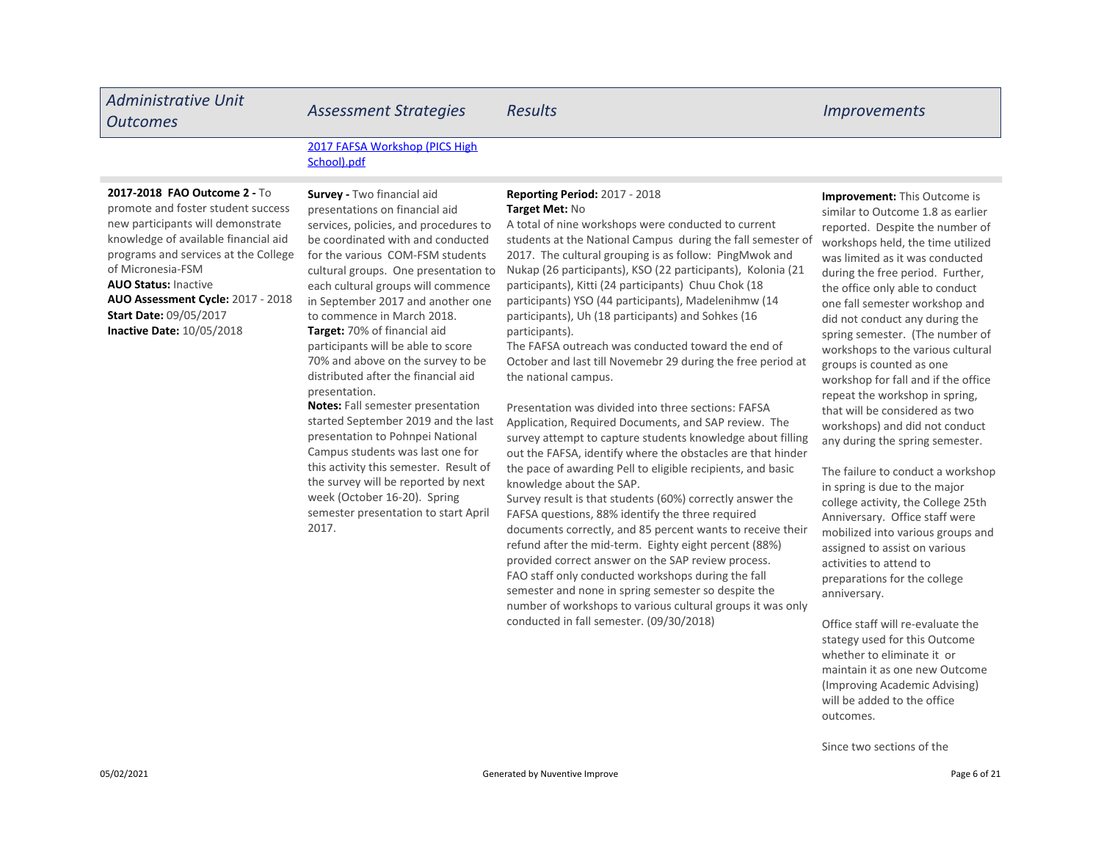#### Administrative Unit nammistrative online and Assessment Strategies Results and the control of the Improvements and Assessment Strategies Results and the control of the Improvements 2017 FAFSA Workshop (PICS High School).pdf AUO Status: Inactive **Inactive Date:** 10/05/2018 **Target:** 70% of financial aid **Improvement:** This Outcome is similar to Outcome 1.8 as earlier reported. Despite the number of workshops held, the time utilized was limited as it was conducted during the free period. Further, the office only able to conduct one fall semester workshop and did not conduct any during the Reporting Period: 2017 - 2018 Target Met: No A total of nine workshops were conducted to current students at the National Campus during the fall semester of 2017. The cultural grouping is as follow: PingMwok and Nukap (26 participants), KSO (22 participants), Kolonia (21 participants), Kitti (24 participants) Chuu Chok (18 participants) YSO (44 participants), Madelenihmw (14 participants), Uh (18 participants) and Sohkes (16 participants). Survey - Two financial aid presentations on financial aid services, policies, and procedures to be coordinated with and conducted for the various COM-FSM students cultural groups. One presentation to each cultural groups will commence in September 2017 and another one to commence in March 2018. AUO Assessment Cycle: 2017 - 2018 2017-2018 FAO Outcome 2 - To promote and foster student success new participants will demonstrate knowledge of available financial aid programs and services at the College of Micronesia-FSM Start Date: 09/05/2017

participants will be able to score 70% and above on the survey to be distributed after the financial aid

Notes: Fall semester presentation started September 2019 and the last presentation to Pohnpei National Campus students was last one for this activity this semester. Result of the survey will be reported by next week (October 16-20). Spring semester presentation to start April

presentation.

2017.

The FAFSA outreach was conducted toward the end of October and last till Novemebr 29 during the free period at the national campus.

Presentation was divided into three sections: FAFSA Application, Required Documents, and SAP review. The survey attempt to capture students knowledge about filling out the FAFSA, identify where the obstacles are that hinder the pace of awarding Pell to eligible recipients, and basic knowledge about the SAP.

Survey result is that students (60%) correctly answer the FAFSA questions, 88% identify the three required documents correctly, and 85 percent wants to receive their refund after the mid-term. Eighty eight percent (88%) provided correct answer on the SAP review process. FAO staff only conducted workshops during the fall semester and none in spring semester so despite the number of workshops to various cultural groups it was only conducted in fall semester. (09/30/2018)

spring semester. (The number of workshops to the various cultural groups is counted as one workshop for fall and if the office repeat the workshop in spring, that will be considered as two workshops) and did not conduct any during the spring semester.

The failure to conduct a workshop in spring is due to the major college activity, the College 25th Anniversary. Office staff were mobilized into various groups and assigned to assist on various activities to attend to preparations for the college anniversary.

Office staff will re-evaluate the stategy used for this Outcome whether to eliminate it or maintain it as one new Outcome (Improving Academic Advising) will be added to the office outcomes.

Since two sections of the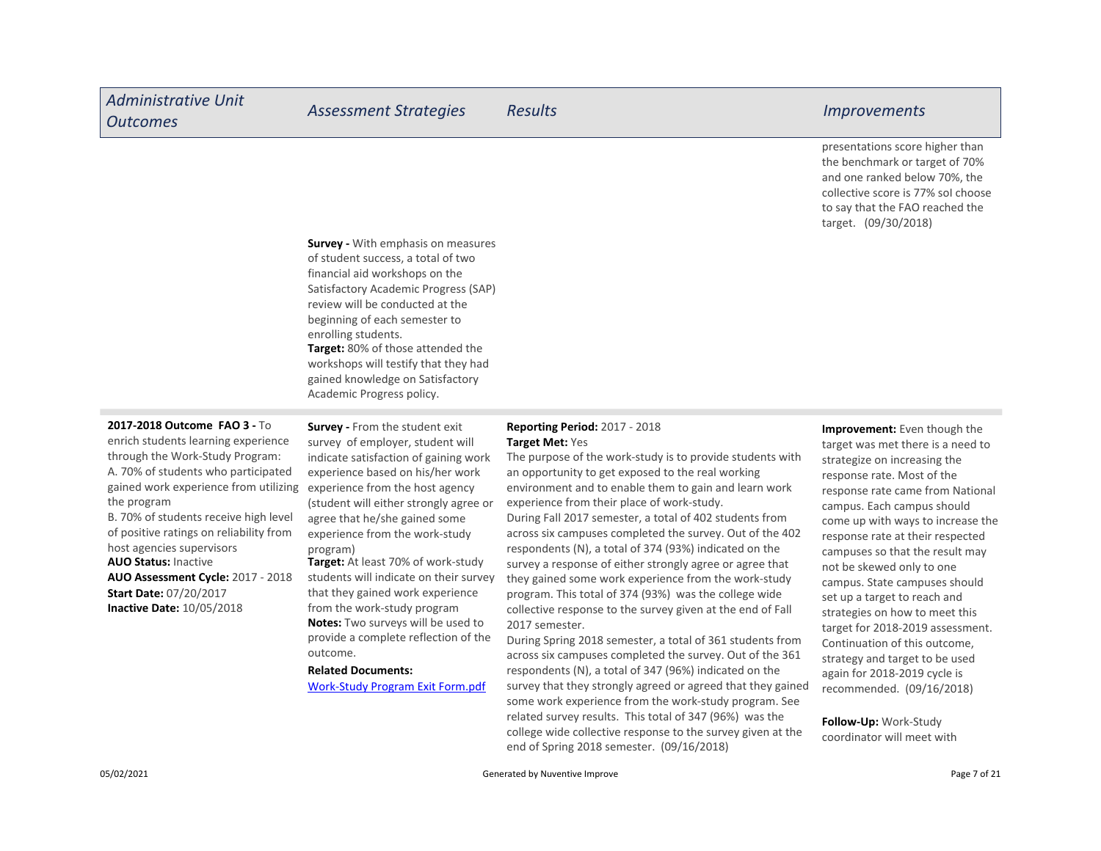presentations score higher than the benchmark or target of 70% and one ranked below 70%, the collective score is 77% soI choose to say that the FAO reached the target. (09/30/2018)

Target: 80% of those attended the workshops will testify that they had gained knowledge on Satisfactory Academic Progress policy. **Survey - With emphasis on measures** of student success, a total of two financial aid workshops on the Satisfactory Academic Progress (SAP) review will be conducted at the beginning of each semester to enrolling students.

#### 2017-2018 Outcome FAO 3 - To

enrich students learning experience through the Work-Study Program: A. 70% of students who participated gained work experience from utilizing the program

AUO Status: Inactive AUO Assessment Cycle: 2017 - 2018 B. 70% of students receive high level of positive ratings on reliability from host agencies supervisors

Inactive Date: 10/05/2018 Start Date: 07/20/2017

Survey - From the student exit survey of employer, student will indicate satisfaction of gaining work experience based on his/her work experience from the host agency (student will either strongly agree or agree that he/she gained some experience from the work-study program)

Target: At least 70% of work-study students will indicate on their survey that they gained work experience from the work-study program Notes: Two surveys will be used to provide a complete reflection of the outcome.

#### Related Documents:

Work-Study Program Exit Form.pdf

#### Reporting Period: 2017 - 2018 Target Met: Yes

The purpose of the work-study is to [pro](https://comfsm.tracdat.com:443/tracdat/viewDocument?y=Hs8UdnRK3FUD)vide students with an opportunity to get exposed to the real working environment and to enable them to gain and learn work experience from their place of work-study. During Fall 2017 semester, a total of 402 students from across six campuses completed the survey. Out of the 402 respondents (N), a total of 374 (93%) indicated on the survey a response of either strongly agree or agree that they gained some work experience from the work-study program. This total of 374 (93%) was the college wide collective response to the survey given at the end of Fall 2017 semester.

During Spring 2018 semester, a total of 361 students from across six campuses completed the survey. Out of the 361 respondents (N), a total of 347 (96%) indicated on the survey that they strongly agreed or agreed that they gained some work experience from the work-study program. See related survey results. This total of 347 (96%) was the college wide collective response to the survey given at the end of Spring 2018 semester. (09/16/2018)

Improvement: Even though the target was met there is a need to strategize on increasing the response rate. Most of the response rate came from National campus. Each campus should come up with ways to increase the response rate at their respected campuses so that the result may not be skewed only to one campus. State campuses should set up a target to reach and strategies on how to meet this target for 2018-2019 assessment. Continuation of this outcome, strategy and target to be used again for 2018-2019 cycle is recommended. (09/16/2018)

Follow-Up: Work-Study coordinator will meet with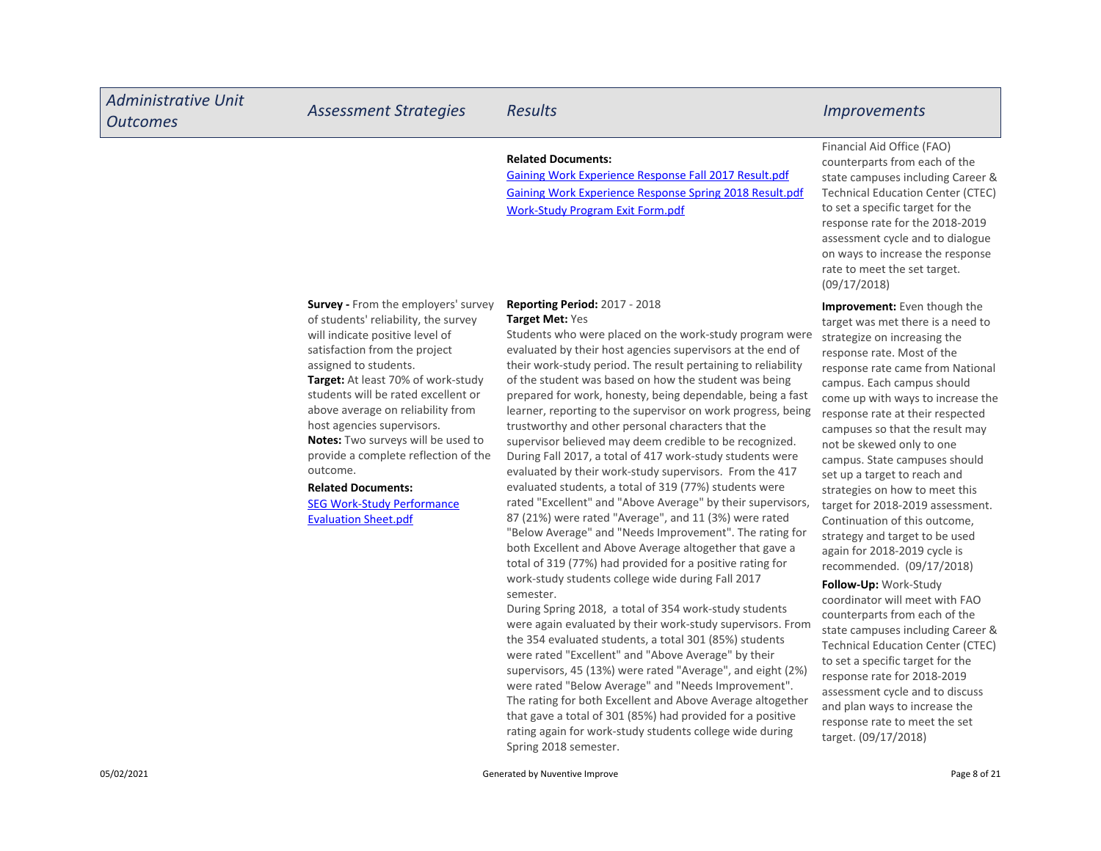| <b>Administrative Unit</b><br><b>Outcomes</b> | <b>Assessment Strategies</b>                                                                                                                                                                                                                                                                                                                                                                                                                                  | <b>Results</b>                                                                                                                                                                                                                                                                                                                                                                                                                                                                                                                                                                                                                                                                                                                              | <i><u><b>Improvements</b></u></i>                                                                                                                                                                                                                                                                                                                                                                                                                    |
|-----------------------------------------------|---------------------------------------------------------------------------------------------------------------------------------------------------------------------------------------------------------------------------------------------------------------------------------------------------------------------------------------------------------------------------------------------------------------------------------------------------------------|---------------------------------------------------------------------------------------------------------------------------------------------------------------------------------------------------------------------------------------------------------------------------------------------------------------------------------------------------------------------------------------------------------------------------------------------------------------------------------------------------------------------------------------------------------------------------------------------------------------------------------------------------------------------------------------------------------------------------------------------|------------------------------------------------------------------------------------------------------------------------------------------------------------------------------------------------------------------------------------------------------------------------------------------------------------------------------------------------------------------------------------------------------------------------------------------------------|
|                                               |                                                                                                                                                                                                                                                                                                                                                                                                                                                               | <b>Related Documents:</b><br><b>Gaining Work Experience Response Fall 2017 Result.pdf</b><br>Gaining Work Experience Response Spring 2018 Result.pdf<br><b>Work-Study Program Exit Form.pdf</b>                                                                                                                                                                                                                                                                                                                                                                                                                                                                                                                                             | Financial Aid Office (FAO)<br>counterparts from each of the<br>state campuses including Career &<br><b>Technical Education Center (CTEC)</b><br>to set a specific target for the<br>response rate for the 2018-2019<br>assessment cycle and to dialogue<br>on ways to increase the response<br>rate to meet the set target.<br>(09/17/2018)                                                                                                          |
|                                               | <b>Survey - From the employers' survey</b><br>of students' reliability, the survey<br>will indicate positive level of<br>satisfaction from the project<br>assigned to students.<br><b>Target:</b> At least 70% of work-study<br>students will be rated excellent or<br>above average on reliability from<br>host agencies supervisors.<br>Notes: Two surveys will be used to<br>provide a complete reflection of the<br>outcome.<br><b>Related Documents:</b> | <b>Reporting Period: 2017 - 2018</b><br>Target Met: Yes<br>Students who were placed on the work-study program were<br>evaluated by their host agencies supervisors at the end of<br>their work-study period. The result pertaining to reliability<br>of the student was based on how the student was being<br>prepared for work, honesty, being dependable, being a fast<br>learner, reporting to the supervisor on work progress, being<br>trustworthy and other personal characters that the<br>supervisor believed may deem credible to be recognized.<br>During Fall 2017, a total of 417 work-study students were<br>evaluated by their work-study supervisors. From the 417<br>evaluated students, a total of 319 (77%) students were | <b>Improvement:</b> Even though the<br>target was met there is a need to<br>strategize on increasing the<br>response rate. Most of the<br>response rate came from National<br>campus. Each campus should<br>come up with ways to increase the<br>response rate at their respected<br>campuses so that the result may<br>not be skewed only to one<br>campus. State campuses should<br>set up a target to reach and<br>strategies on how to meet this |

87 (21%) were rated "Average", and 11 (3%) were rated "Below Average" and "Needs Improvement". The rating for both Excellent and Above Average altogether that gave a total of 319 (77%) had provided for a positive rating for work-study students college wide during Fall 2017

During Spring 2018, a total of 354 work-study students were again evaluated by their work-study supervisors. From the 354 evaluated students, a total 301 (85%) students were rated "Excellent" and "Above Average" by their supervisors, 45 (13%) were rated "Average", and eight (2%) were rated "Below Average" and "Needs Improvement". The rating for both Excellent and Above Average altogether that gave a total of 301 (85%) had provided for a positive rating again for work-study students college wide during

SEG Work-Study Performance Evaluation Sheet.pdf

semester.

Spring 2018 semester.

target for 2018-2019 assessment. Continuation of this outcome, strategy and target to be used again for 2018-2019 cycle is recommended. (09/17/2018) Follow-Up: Work-Study coordinator will meet with FAO counterparts from each of the state campuses including Career & Technical Education Center (CTEC) to set a specific target for the response rate for 2018-2019 assessment cycle and to discuss and plan ways to increase the response rate to meet the set

target. (09/17/2018)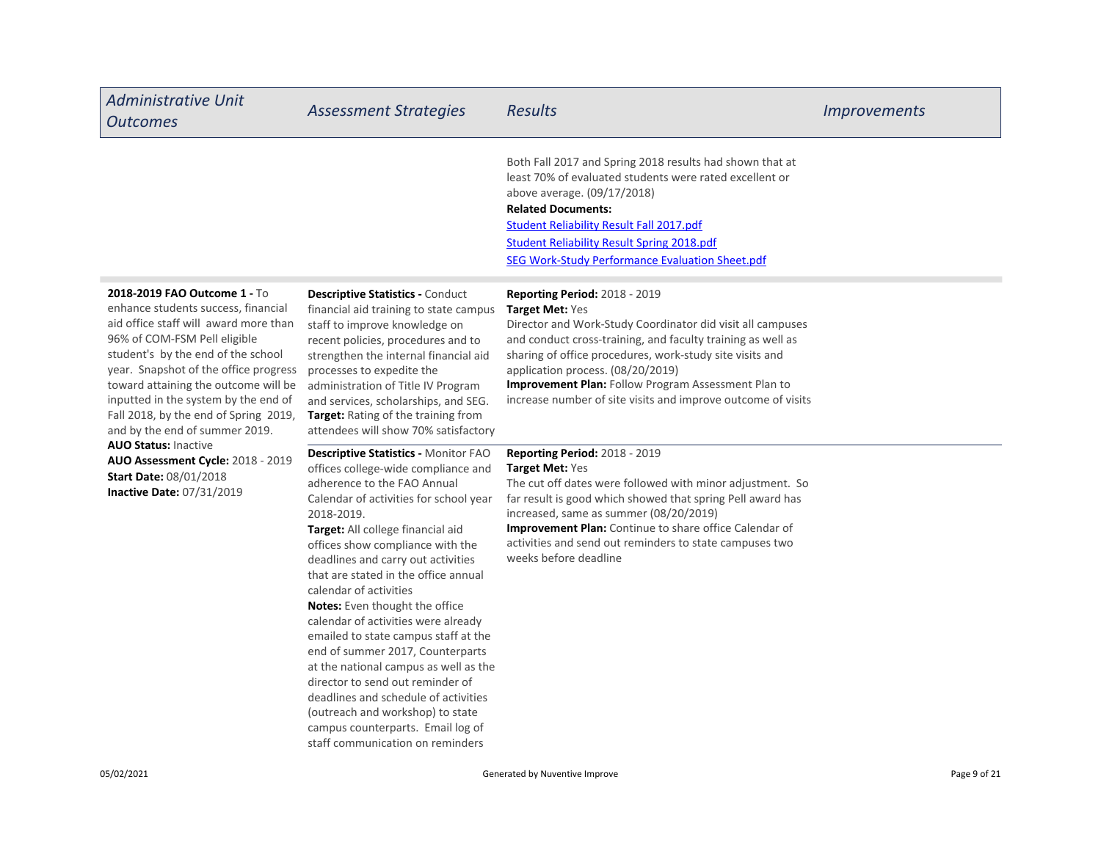| <b>Administrative Unit</b><br><b>Outcomes</b>                                                                                                                                                                                                                                                                                                                                          | <b>Assessment Strategies</b>                                                                                                                                                                                                                                                                                                                                                                                                                                                                                                                                                                                                                                                                                                                      | <b>Results</b>                                                                                                                                                                                                                                                                                                                                                                                               | <b>Improvements</b> |
|----------------------------------------------------------------------------------------------------------------------------------------------------------------------------------------------------------------------------------------------------------------------------------------------------------------------------------------------------------------------------------------|---------------------------------------------------------------------------------------------------------------------------------------------------------------------------------------------------------------------------------------------------------------------------------------------------------------------------------------------------------------------------------------------------------------------------------------------------------------------------------------------------------------------------------------------------------------------------------------------------------------------------------------------------------------------------------------------------------------------------------------------------|--------------------------------------------------------------------------------------------------------------------------------------------------------------------------------------------------------------------------------------------------------------------------------------------------------------------------------------------------------------------------------------------------------------|---------------------|
|                                                                                                                                                                                                                                                                                                                                                                                        |                                                                                                                                                                                                                                                                                                                                                                                                                                                                                                                                                                                                                                                                                                                                                   | Both Fall 2017 and Spring 2018 results had shown that at<br>least 70% of evaluated students were rated excellent or<br>above average. (09/17/2018)<br><b>Related Documents:</b><br><b>Student Reliability Result Fall 2017.pdf</b><br><b>Student Reliability Result Spring 2018.pdf</b><br><b>SEG Work-Study Performance Evaluation Sheet.pdf</b>                                                            |                     |
| 2018-2019 FAO Outcome 1 - To<br>enhance students success, financial<br>aid office staff will award more than<br>96% of COM-FSM Pell eligible<br>student's by the end of the school<br>year. Snapshot of the office progress<br>toward attaining the outcome will be<br>inputted in the system by the end of<br>Fall 2018, by the end of Spring 2019,<br>and by the end of summer 2019. | <b>Descriptive Statistics - Conduct</b><br>financial aid training to state campus<br>staff to improve knowledge on<br>recent policies, procedures and to<br>strengthen the internal financial aid<br>processes to expedite the<br>administration of Title IV Program<br>and services, scholarships, and SEG.<br>Target: Rating of the training from<br>attendees will show 70% satisfactory                                                                                                                                                                                                                                                                                                                                                       | <b>Reporting Period: 2018 - 2019</b><br>Target Met: Yes<br>Director and Work-Study Coordinator did visit all campuses<br>and conduct cross-training, and faculty training as well as<br>sharing of office procedures, work-study site visits and<br>application process. (08/20/2019)<br>Improvement Plan: Follow Program Assessment Plan to<br>increase number of site visits and improve outcome of visits |                     |
| <b>AUO Status: Inactive</b><br>AUO Assessment Cycle: 2018 - 2019<br><b>Start Date: 08/01/2018</b><br><b>Inactive Date: 07/31/2019</b>                                                                                                                                                                                                                                                  | Descriptive Statistics - Monitor FAO<br>offices college-wide compliance and<br>adherence to the FAO Annual<br>Calendar of activities for school year<br>2018-2019.<br>Target: All college financial aid<br>offices show compliance with the<br>deadlines and carry out activities<br>that are stated in the office annual<br>calendar of activities<br><b>Notes:</b> Even thought the office<br>calendar of activities were already<br>emailed to state campus staff at the<br>end of summer 2017, Counterparts<br>at the national campus as well as the<br>director to send out reminder of<br>deadlines and schedule of activities<br>(outreach and workshop) to state<br>campus counterparts. Email log of<br>staff communication on reminders | <b>Reporting Period: 2018 - 2019</b><br>Target Met: Yes<br>The cut off dates were followed with minor adjustment. So<br>far result is good which showed that spring Pell award has<br>increased, same as summer (08/20/2019)<br>Improvement Plan: Continue to share office Calendar of<br>activities and send out reminders to state campuses two<br>weeks before deadline                                   |                     |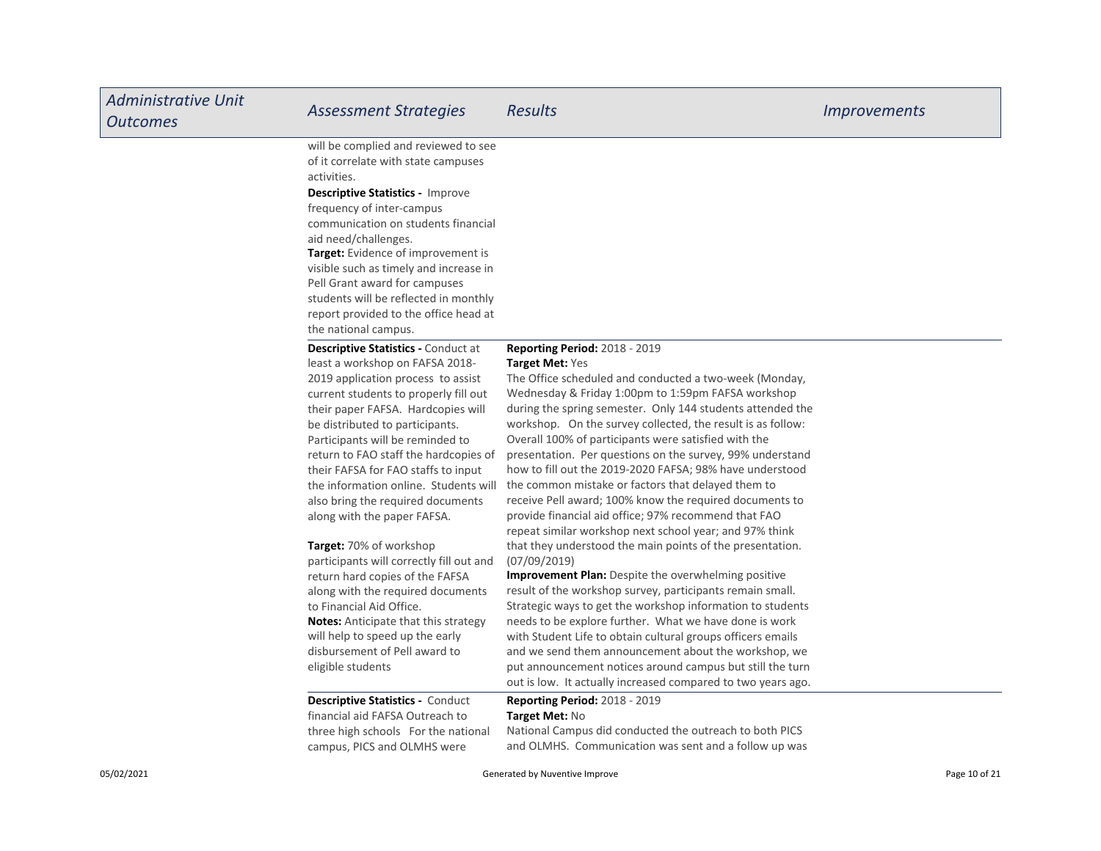| <b>Administrative Unit</b><br><b>Outcomes</b> | <b>Assessment Strategies</b>                                                                                                                                                                                                                                                                                                                                                                                                                                           | <b>Results</b>                                                                                                                                                                                                                                                                                                                                                                                                                                                                                                                                                                                                                                                                                                                   | <i>Improvements</i> |
|-----------------------------------------------|------------------------------------------------------------------------------------------------------------------------------------------------------------------------------------------------------------------------------------------------------------------------------------------------------------------------------------------------------------------------------------------------------------------------------------------------------------------------|----------------------------------------------------------------------------------------------------------------------------------------------------------------------------------------------------------------------------------------------------------------------------------------------------------------------------------------------------------------------------------------------------------------------------------------------------------------------------------------------------------------------------------------------------------------------------------------------------------------------------------------------------------------------------------------------------------------------------------|---------------------|
|                                               | will be complied and reviewed to see<br>of it correlate with state campuses<br>activities.<br><b>Descriptive Statistics - Improve</b><br>frequency of inter-campus<br>communication on students financial<br>aid need/challenges.<br>Target: Evidence of improvement is<br>visible such as timely and increase in<br>Pell Grant award for campuses<br>students will be reflected in monthly<br>report provided to the office head at<br>the national campus.           |                                                                                                                                                                                                                                                                                                                                                                                                                                                                                                                                                                                                                                                                                                                                  |                     |
|                                               | <b>Descriptive Statistics - Conduct at</b><br>least a workshop on FAFSA 2018-<br>2019 application process to assist<br>current students to properly fill out<br>their paper FAFSA. Hardcopies will<br>be distributed to participants.<br>Participants will be reminded to<br>return to FAO staff the hardcopies of<br>their FAFSA for FAO staffs to input<br>the information online. Students will<br>also bring the required documents<br>along with the paper FAFSA. | <b>Reporting Period: 2018 - 2019</b><br><b>Target Met: Yes</b><br>The Office scheduled and conducted a two-week (Monday,<br>Wednesday & Friday 1:00pm to 1:59pm FAFSA workshop<br>during the spring semester. Only 144 students attended the<br>workshop. On the survey collected, the result is as follow:<br>Overall 100% of participants were satisfied with the<br>presentation. Per questions on the survey, 99% understand<br>how to fill out the 2019-2020 FAFSA; 98% have understood<br>the common mistake or factors that delayed them to<br>receive Pell award; 100% know the required documents to<br>provide financial aid office; 97% recommend that FAO<br>repeat similar workshop next school year; and 97% think |                     |
|                                               | <b>Target:</b> 70% of workshop<br>participants will correctly fill out and<br>return hard copies of the FAFSA<br>along with the required documents<br>to Financial Aid Office.<br><b>Notes:</b> Anticipate that this strategy<br>will help to speed up the early<br>disbursement of Pell award to<br>eligible students                                                                                                                                                 | that they understood the main points of the presentation.<br>(07/09/2019)<br>Improvement Plan: Despite the overwhelming positive<br>result of the workshop survey, participants remain small.<br>Strategic ways to get the workshop information to students<br>needs to be explore further. What we have done is work<br>with Student Life to obtain cultural groups officers emails<br>and we send them announcement about the workshop, we<br>put announcement notices around campus but still the turn<br>out is low. It actually increased compared to two years ago.                                                                                                                                                        |                     |
|                                               | <b>Descriptive Statistics - Conduct</b><br>financial aid FAFSA Outreach to<br>three high schools For the national<br>campus, PICS and OLMHS were                                                                                                                                                                                                                                                                                                                       | Reporting Period: 2018 - 2019<br>Target Met: No<br>National Campus did conducted the outreach to both PICS<br>and OLMHS. Communication was sent and a follow up was                                                                                                                                                                                                                                                                                                                                                                                                                                                                                                                                                              |                     |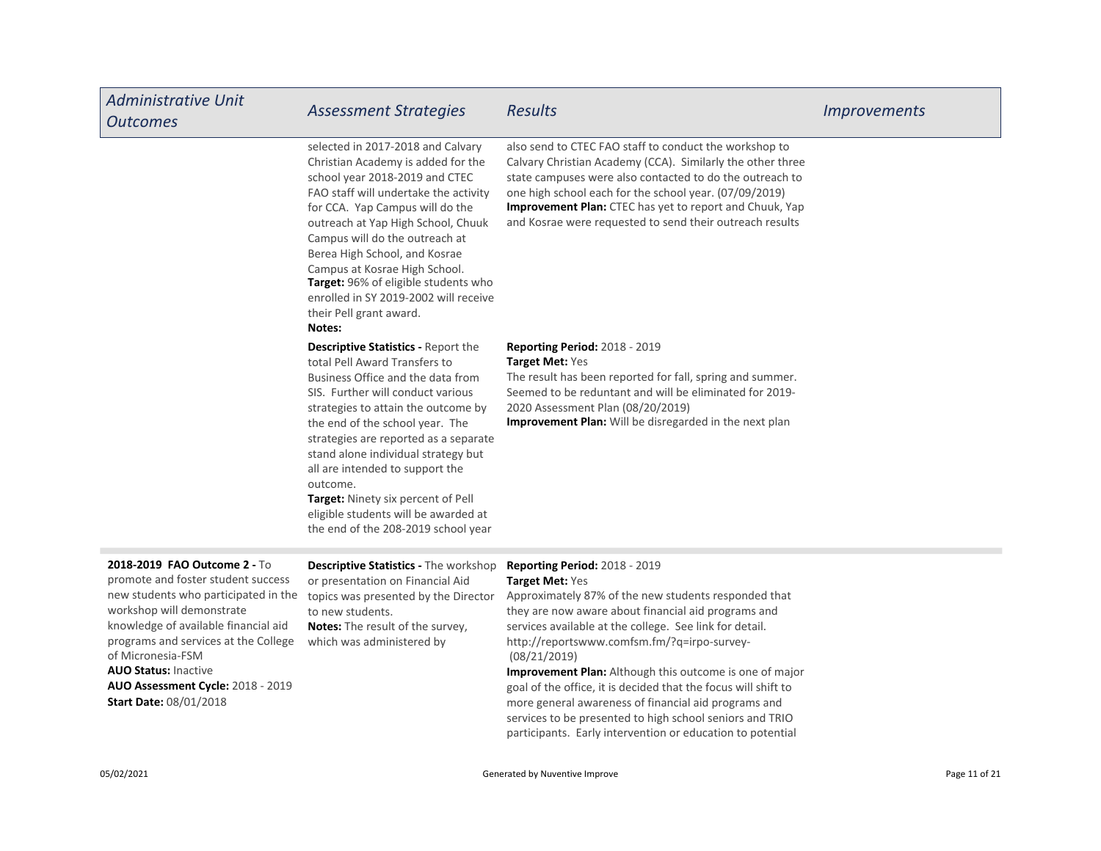| <b>Administrative Unit</b><br><b>Outcomes</b>                                                                                                                                                                                                                                                                                                            | <b>Assessment Strategies</b>                                                                                                                                                                                                                                                                                                                                                                                                                                                               | <b>Results</b>                                                                                                                                                                                                                                                                                                                                                                                                                                                                                                                             | <i>Improvements</i> |
|----------------------------------------------------------------------------------------------------------------------------------------------------------------------------------------------------------------------------------------------------------------------------------------------------------------------------------------------------------|--------------------------------------------------------------------------------------------------------------------------------------------------------------------------------------------------------------------------------------------------------------------------------------------------------------------------------------------------------------------------------------------------------------------------------------------------------------------------------------------|--------------------------------------------------------------------------------------------------------------------------------------------------------------------------------------------------------------------------------------------------------------------------------------------------------------------------------------------------------------------------------------------------------------------------------------------------------------------------------------------------------------------------------------------|---------------------|
|                                                                                                                                                                                                                                                                                                                                                          | selected in 2017-2018 and Calvary<br>Christian Academy is added for the<br>school year 2018-2019 and CTEC<br>FAO staff will undertake the activity<br>for CCA. Yap Campus will do the<br>outreach at Yap High School, Chuuk<br>Campus will do the outreach at<br>Berea High School, and Kosrae<br>Campus at Kosrae High School.<br>Target: 96% of eligible students who<br>enrolled in SY 2019-2002 will receive<br>their Pell grant award.<br>Notes:                                      | also send to CTEC FAO staff to conduct the workshop to<br>Calvary Christian Academy (CCA). Similarly the other three<br>state campuses were also contacted to do the outreach to<br>one high school each for the school year. (07/09/2019)<br>Improvement Plan: CTEC has yet to report and Chuuk, Yap<br>and Kosrae were requested to send their outreach results                                                                                                                                                                          |                     |
|                                                                                                                                                                                                                                                                                                                                                          | <b>Descriptive Statistics - Report the</b><br>total Pell Award Transfers to<br>Business Office and the data from<br>SIS. Further will conduct various<br>strategies to attain the outcome by<br>the end of the school year. The<br>strategies are reported as a separate<br>stand alone individual strategy but<br>all are intended to support the<br>outcome.<br><b>Target:</b> Ninety six percent of Pell<br>eligible students will be awarded at<br>the end of the 208-2019 school year | <b>Reporting Period: 2018 - 2019</b><br><b>Target Met: Yes</b><br>The result has been reported for fall, spring and summer.<br>Seemed to be reduntant and will be eliminated for 2019-<br>2020 Assessment Plan (08/20/2019)<br>Improvement Plan: Will be disregarded in the next plan                                                                                                                                                                                                                                                      |                     |
| 2018-2019 FAO Outcome 2 - To<br>promote and foster student success<br>new students who participated in the<br>workshop will demonstrate<br>knowledge of available financial aid<br>programs and services at the College<br>of Micronesia-FSM<br><b>AUO Status: Inactive</b><br><b>AUO Assessment Cycle: 2018 - 2019</b><br><b>Start Date: 08/01/2018</b> | Descriptive Statistics - The workshop<br>or presentation on Financial Aid<br>topics was presented by the Director<br>to new students.<br>Notes: The result of the survey,<br>which was administered by                                                                                                                                                                                                                                                                                     | Reporting Period: 2018 - 2019<br>Target Met: Yes<br>Approximately 87% of the new students responded that<br>they are now aware about financial aid programs and<br>services available at the college. See link for detail.<br>http://reportswww.comfsm.fm/?q=irpo-survey-<br>(08/21/2019)<br>Improvement Plan: Although this outcome is one of major<br>goal of the office, it is decided that the focus will shift to<br>more general awareness of financial aid programs and<br>services to be presented to high school seniors and TRIO |                     |

participants. Early intervention or education to potential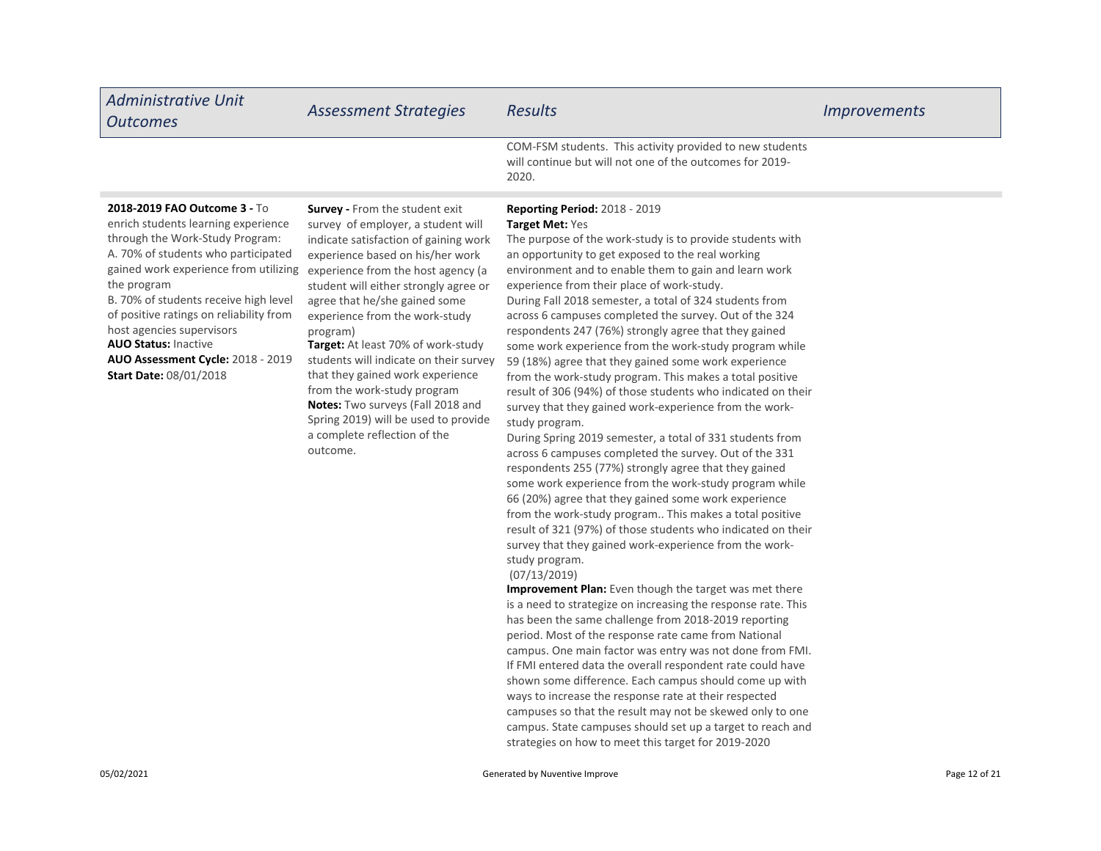| Administrative Unit<br><b>Outcomes</b>                                                                                                                                                                                                                                                                                                                                                                                      | <b>Assessment Strategies</b>                                                                                                                                                                                                                                                                                                                                                                                                                                                                                                                                                                  | <b>Results</b>                                                                                                                                                                                                                                                                                                                                                                                                                                                                                                                                                                                                                                                                                                                                                                                                                                       | <i>Improvements</i> |
|-----------------------------------------------------------------------------------------------------------------------------------------------------------------------------------------------------------------------------------------------------------------------------------------------------------------------------------------------------------------------------------------------------------------------------|-----------------------------------------------------------------------------------------------------------------------------------------------------------------------------------------------------------------------------------------------------------------------------------------------------------------------------------------------------------------------------------------------------------------------------------------------------------------------------------------------------------------------------------------------------------------------------------------------|------------------------------------------------------------------------------------------------------------------------------------------------------------------------------------------------------------------------------------------------------------------------------------------------------------------------------------------------------------------------------------------------------------------------------------------------------------------------------------------------------------------------------------------------------------------------------------------------------------------------------------------------------------------------------------------------------------------------------------------------------------------------------------------------------------------------------------------------------|---------------------|
|                                                                                                                                                                                                                                                                                                                                                                                                                             |                                                                                                                                                                                                                                                                                                                                                                                                                                                                                                                                                                                               | COM-FSM students. This activity provided to new students<br>will continue but will not one of the outcomes for 2019-<br>2020.                                                                                                                                                                                                                                                                                                                                                                                                                                                                                                                                                                                                                                                                                                                        |                     |
| 2018-2019 FAO Outcome 3 - To<br>enrich students learning experience<br>through the Work-Study Program:<br>A. 70% of students who participated<br>gained work experience from utilizing<br>the program<br>B. 70% of students receive high level<br>of positive ratings on reliability from<br>host agencies supervisors<br><b>AUO Status: Inactive</b><br>AUO Assessment Cycle: 2018 - 2019<br><b>Start Date: 08/01/2018</b> | <b>Survey - From the student exit</b><br>survey of employer, a student will<br>indicate satisfaction of gaining work<br>experience based on his/her work<br>experience from the host agency (a<br>student will either strongly agree or<br>agree that he/she gained some<br>experience from the work-study<br>program)<br><b>Target:</b> At least 70% of work-study<br>students will indicate on their survey<br>that they gained work experience<br>from the work-study program<br>Notes: Two surveys (Fall 2018 and<br>Spring 2019) will be used to provide<br>a complete reflection of the | <b>Reporting Period: 2018 - 2019</b><br>Target Met: Yes<br>The purpose of the work-study is to provide students with<br>an opportunity to get exposed to the real working<br>environment and to enable them to gain and learn work<br>experience from their place of work-study.<br>During Fall 2018 semester, a total of 324 students from<br>across 6 campuses completed the survey. Out of the 324<br>respondents 247 (76%) strongly agree that they gained<br>some work experience from the work-study program while<br>59 (18%) agree that they gained some work experience<br>from the work-study program. This makes a total positive<br>result of 306 (94%) of those students who indicated on their<br>survey that they gained work-experience from the work-<br>study program.<br>During Spring 2019 semester a total of 331 students from |                     |

During Spring 2019 semester, a total of 331 students from across 6 campuses completed the survey. Out of the 331 respondents 255 (77%) strongly agree that they gained some work experience from the work-study program while 66 (20%) agree that they gained some work experience from the work-study program.. This makes a total positive result of 321 (97%) of those students who indicated on their survey that they gained work-experience from the workstudy program.

#### (07/13/2019)

outcome.

Improvement Plan: Even though the target was met there is a need to strategize on increasing the response rate. This has been the same challenge from 2018-2019 reporting period. Most of the response rate came from National campus. One main factor was entry was not done from FMI. If FMI entered data the overall respondent rate could have shown some difference. Each campus should come up with ways to increase the response rate at their respected campuses so that the result may not be skewed only to one campus. State campuses should set up a target to reach and strategies on how to meet this target for 2019-2020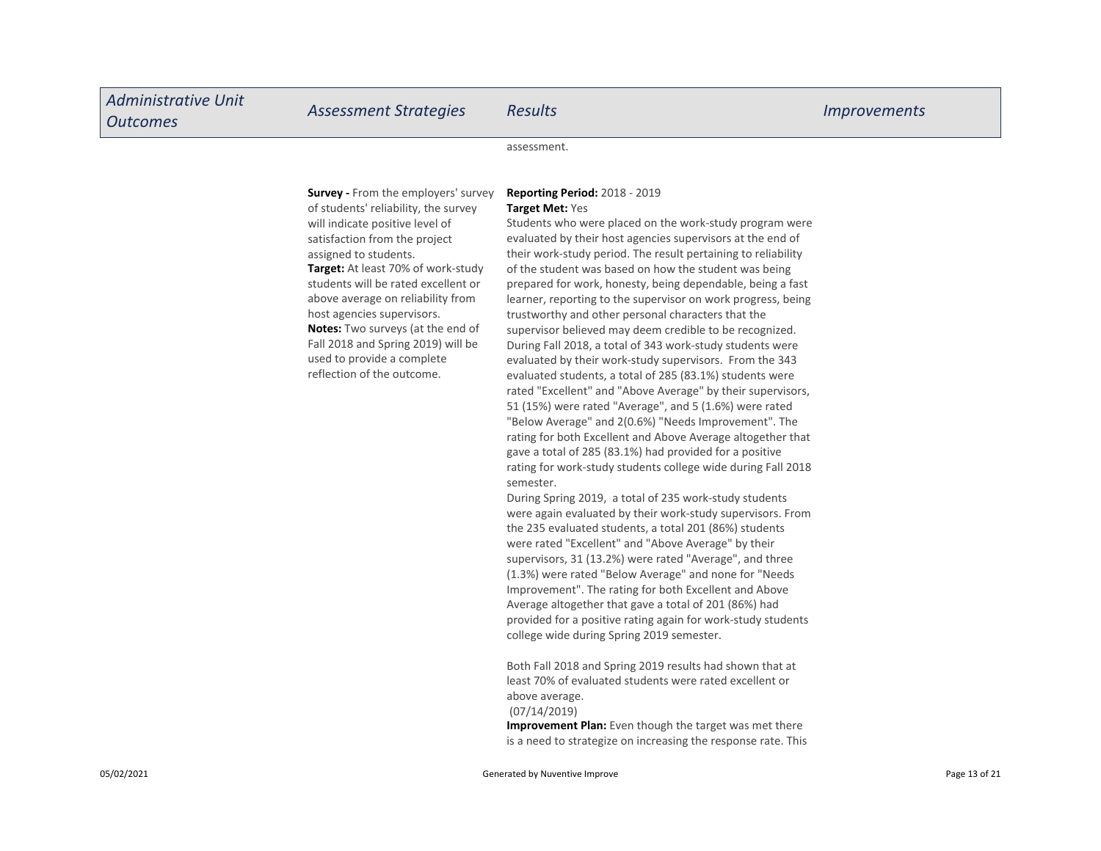assessment.

Survey - From the employers' survey of students' reliability, the survey will indicate positive level of satisfaction from the project assigned to students.

Target: At least 70% of work-study students will be rated excellent or above average on reliability from host agencies supervisors. Notes: Two surveys (at the end of Fall 2018 and Spring 2019) will be used to provide a complete reflection of the outcome.

#### Reporting Period: 2018 - 2019 Target Met: Yes

Students who were placed on the work-study program were evaluated by their host agencies supervisors at the end of their work-study period. The result pertaining to reliability of the student was based on how the student was being prepared for work, honesty, being dependable, being a fast learner, reporting to the supervisor on work progress, being trustworthy and other personal characters that the supervisor believed may deem credible to be recognized. During Fall 2018, a total of 343 work-study students were evaluated by their work-study supervisors. From the 343 evaluated students, a total of 285 (83.1%) students were rated "Excellent" and "Above Average" by their supervisors, 51 (15%) were rated "Average", and 5 (1.6%) were rated "Below Average" and 2(0.6%) "Needs Improvement". The rating for both Excellent and Above Average altogether that gave a total of 285 (83.1%) had provided for a positive rating for work-study students college wide during Fall 2018 semester.

During Spring 2019, a total of 235 work-study students were again evaluated by their work-study supervisors. From the 235 evaluated students, a total 201 (86%) students were rated "Excellent" and "Above Average" by their supervisors, 31 (13.2%) were rated "Average", and three (1.3%) were rated "Below Average" and none for "Needs Improvement". The rating for both Excellent and Above Average altogether that gave a total of 201 (86%) had provided for a positive rating again for work-study students college wide during Spring 2019 semester.

Both Fall 2018 and Spring 2019 results had shown that at least 70% of evaluated students were rated excellent or above average.

#### (07/14/2019)

Improvement Plan: Even though the target was met there is a need to strategize on increasing the response rate. This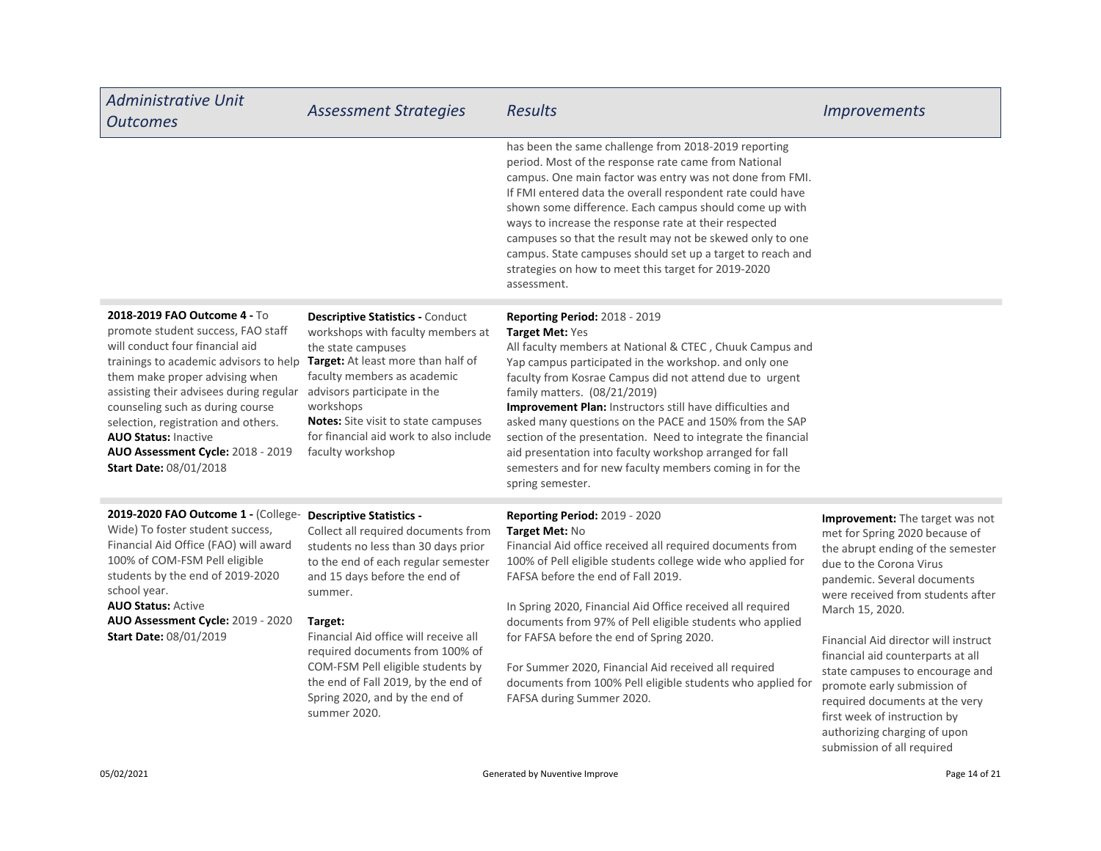| <b>Administrative Unit</b><br><b>Outcomes</b>                                                                                                                                                                                                                                                                                                                                                                                                                               | <b>Assessment Strategies</b>                                                                                                                                                                                                                                                                                                                                                       | <b>Results</b>                                                                                                                                                                                                                                                                                                                                                                                                                                                                                                                                                                                     | <b>Improvements</b>                                                                                                                                                                                                                                                                                                                                                                                                                                                                                     |
|-----------------------------------------------------------------------------------------------------------------------------------------------------------------------------------------------------------------------------------------------------------------------------------------------------------------------------------------------------------------------------------------------------------------------------------------------------------------------------|------------------------------------------------------------------------------------------------------------------------------------------------------------------------------------------------------------------------------------------------------------------------------------------------------------------------------------------------------------------------------------|----------------------------------------------------------------------------------------------------------------------------------------------------------------------------------------------------------------------------------------------------------------------------------------------------------------------------------------------------------------------------------------------------------------------------------------------------------------------------------------------------------------------------------------------------------------------------------------------------|---------------------------------------------------------------------------------------------------------------------------------------------------------------------------------------------------------------------------------------------------------------------------------------------------------------------------------------------------------------------------------------------------------------------------------------------------------------------------------------------------------|
|                                                                                                                                                                                                                                                                                                                                                                                                                                                                             |                                                                                                                                                                                                                                                                                                                                                                                    | has been the same challenge from 2018-2019 reporting<br>period. Most of the response rate came from National<br>campus. One main factor was entry was not done from FMI.<br>If FMI entered data the overall respondent rate could have<br>shown some difference. Each campus should come up with<br>ways to increase the response rate at their respected<br>campuses so that the result may not be skewed only to one<br>campus. State campuses should set up a target to reach and<br>strategies on how to meet this target for 2019-2020<br>assessment.                                         |                                                                                                                                                                                                                                                                                                                                                                                                                                                                                                         |
| 2018-2019 FAO Outcome 4 - To<br>promote student success, FAO staff<br>will conduct four financial aid<br>trainings to academic advisors to help Target: At least more than half of<br>them make proper advising when<br>assisting their advisees during regular advisors participate in the<br>counseling such as during course<br>selection, registration and others.<br><b>AUO Status: Inactive</b><br>AUO Assessment Cycle: 2018 - 2019<br><b>Start Date: 08/01/2018</b> | <b>Descriptive Statistics - Conduct</b><br>workshops with faculty members at<br>the state campuses<br>faculty members as academic<br>workshops<br><b>Notes:</b> Site visit to state campuses<br>for financial aid work to also include<br>faculty workshop                                                                                                                         | Reporting Period: 2018 - 2019<br>Target Met: Yes<br>All faculty members at National & CTEC, Chuuk Campus and<br>Yap campus participated in the workshop. and only one<br>faculty from Kosrae Campus did not attend due to urgent<br>family matters. (08/21/2019)<br>Improvement Plan: Instructors still have difficulties and<br>asked many questions on the PACE and 150% from the SAP<br>section of the presentation. Need to integrate the financial<br>aid presentation into faculty workshop arranged for fall<br>semesters and for new faculty members coming in for the<br>spring semester. |                                                                                                                                                                                                                                                                                                                                                                                                                                                                                                         |
| 2019-2020 FAO Outcome 1 - (College- Descriptive Statistics -<br>Wide) To foster student success,<br>Financial Aid Office (FAO) will award<br>100% of COM-FSM Pell eligible<br>students by the end of 2019-2020<br>school year.<br><b>AUO Status: Active</b><br>AUO Assessment Cycle: 2019 - 2020<br><b>Start Date: 08/01/2019</b>                                                                                                                                           | Collect all required documents from<br>students no less than 30 days prior<br>to the end of each regular semester<br>and 15 days before the end of<br>summer.<br>Target:<br>Financial Aid office will receive all<br>required documents from 100% of<br>COM-FSM Pell eligible students by<br>the end of Fall 2019, by the end of<br>Spring 2020, and by the end of<br>summer 2020. | Reporting Period: 2019 - 2020<br>Target Met: No<br>Financial Aid office received all required documents from<br>100% of Pell eligible students college wide who applied for<br>FAFSA before the end of Fall 2019.<br>In Spring 2020, Financial Aid Office received all required<br>documents from 97% of Pell eligible students who applied<br>for FAFSA before the end of Spring 2020.<br>For Summer 2020, Financial Aid received all required<br>documents from 100% Pell eligible students who applied for<br>FAFSA during Summer 2020.                                                         | Improvement: The target was not<br>met for Spring 2020 because of<br>the abrupt ending of the semester<br>due to the Corona Virus<br>pandemic. Several documents<br>were received from students after<br>March 15, 2020.<br>Financial Aid director will instruct<br>financial aid counterparts at all<br>state campuses to encourage and<br>promote early submission of<br>required documents at the very<br>first week of instruction by<br>authorizing charging of upon<br>submission of all required |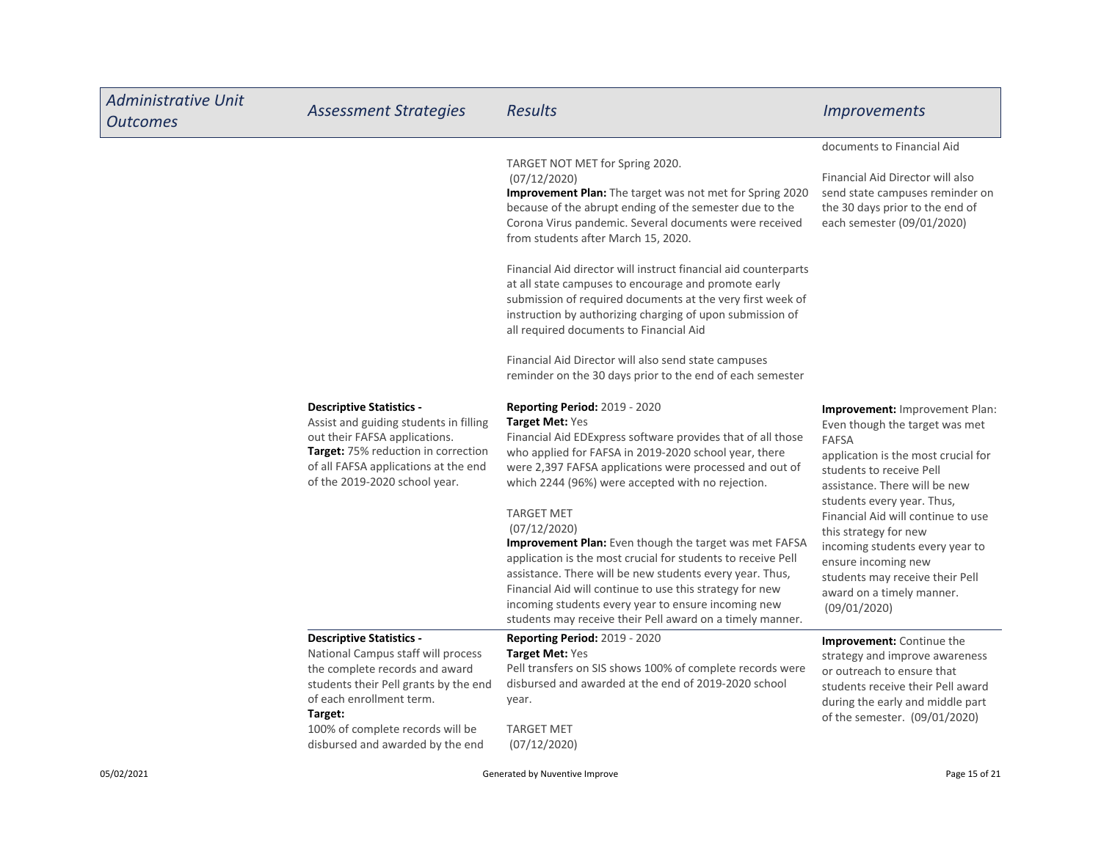| <b>Administrative Unit</b><br><b>Outcomes</b> | <b>Assessment Strategies</b>                                                                                                                                                                                                                                    | <b>Results</b>                                                                                                                                                                                                                                                                                                                                                                                                                                                                                                                                                                                                                                                                                                           | <b>Improvements</b>                                                                                                                                                                                                                                                                                                                                                                                                                |
|-----------------------------------------------|-----------------------------------------------------------------------------------------------------------------------------------------------------------------------------------------------------------------------------------------------------------------|--------------------------------------------------------------------------------------------------------------------------------------------------------------------------------------------------------------------------------------------------------------------------------------------------------------------------------------------------------------------------------------------------------------------------------------------------------------------------------------------------------------------------------------------------------------------------------------------------------------------------------------------------------------------------------------------------------------------------|------------------------------------------------------------------------------------------------------------------------------------------------------------------------------------------------------------------------------------------------------------------------------------------------------------------------------------------------------------------------------------------------------------------------------------|
|                                               |                                                                                                                                                                                                                                                                 | TARGET NOT MET for Spring 2020.<br>(07/12/2020)<br><b>Improvement Plan:</b> The target was not met for Spring 2020<br>because of the abrupt ending of the semester due to the<br>Corona Virus pandemic. Several documents were received<br>from students after March 15, 2020.<br>Financial Aid director will instruct financial aid counterparts<br>at all state campuses to encourage and promote early<br>submission of required documents at the very first week of<br>instruction by authorizing charging of upon submission of<br>all required documents to Financial Aid<br>Financial Aid Director will also send state campuses<br>reminder on the 30 days prior to the end of each semester                     | documents to Financial Aid<br>Financial Aid Director will also<br>send state campuses reminder on<br>the 30 days prior to the end of<br>each semester (09/01/2020)                                                                                                                                                                                                                                                                 |
|                                               | <b>Descriptive Statistics -</b><br>Assist and guiding students in filling<br>out their FAFSA applications.<br><b>Target:</b> 75% reduction in correction<br>of all FAFSA applications at the end<br>of the 2019-2020 school year.                               | <b>Reporting Period: 2019 - 2020</b><br><b>Target Met: Yes</b><br>Financial Aid EDExpress software provides that of all those<br>who applied for FAFSA in 2019-2020 school year, there<br>were 2,397 FAFSA applications were processed and out of<br>which 2244 (96%) were accepted with no rejection.<br><b>TARGET MET</b><br>(07/12/2020)<br><b>Improvement Plan:</b> Even though the target was met FAFSA<br>application is the most crucial for students to receive Pell<br>assistance. There will be new students every year. Thus,<br>Financial Aid will continue to use this strategy for new<br>incoming students every year to ensure incoming new<br>students may receive their Pell award on a timely manner. | <b>Improvement:</b> Improvement Plan:<br>Even though the target was met<br><b>FAFSA</b><br>application is the most crucial for<br>students to receive Pell<br>assistance. There will be new<br>students every year. Thus,<br>Financial Aid will continue to use<br>this strategy for new<br>incoming students every year to<br>ensure incoming new<br>students may receive their Pell<br>award on a timely manner.<br>(09/01/2020) |
|                                               | <b>Descriptive Statistics -</b><br>National Campus staff will process<br>the complete records and award<br>students their Pell grants by the end<br>of each enrollment term.<br>Target:<br>100% of complete records will be<br>disbursed and awarded by the end | <b>Reporting Period: 2019 - 2020</b><br><b>Target Met: Yes</b><br>Pell transfers on SIS shows 100% of complete records were<br>disbursed and awarded at the end of 2019-2020 school<br>year.<br><b>TARGET MET</b><br>(07/12/2020)                                                                                                                                                                                                                                                                                                                                                                                                                                                                                        | Improvement: Continue the<br>strategy and improve awareness<br>or outreach to ensure that<br>students receive their Pell award<br>during the early and middle part<br>of the semester. (09/01/2020)                                                                                                                                                                                                                                |
| 05/02/2021                                    |                                                                                                                                                                                                                                                                 | Generated by Nuventive Improve                                                                                                                                                                                                                                                                                                                                                                                                                                                                                                                                                                                                                                                                                           | Page 15 of 21                                                                                                                                                                                                                                                                                                                                                                                                                      |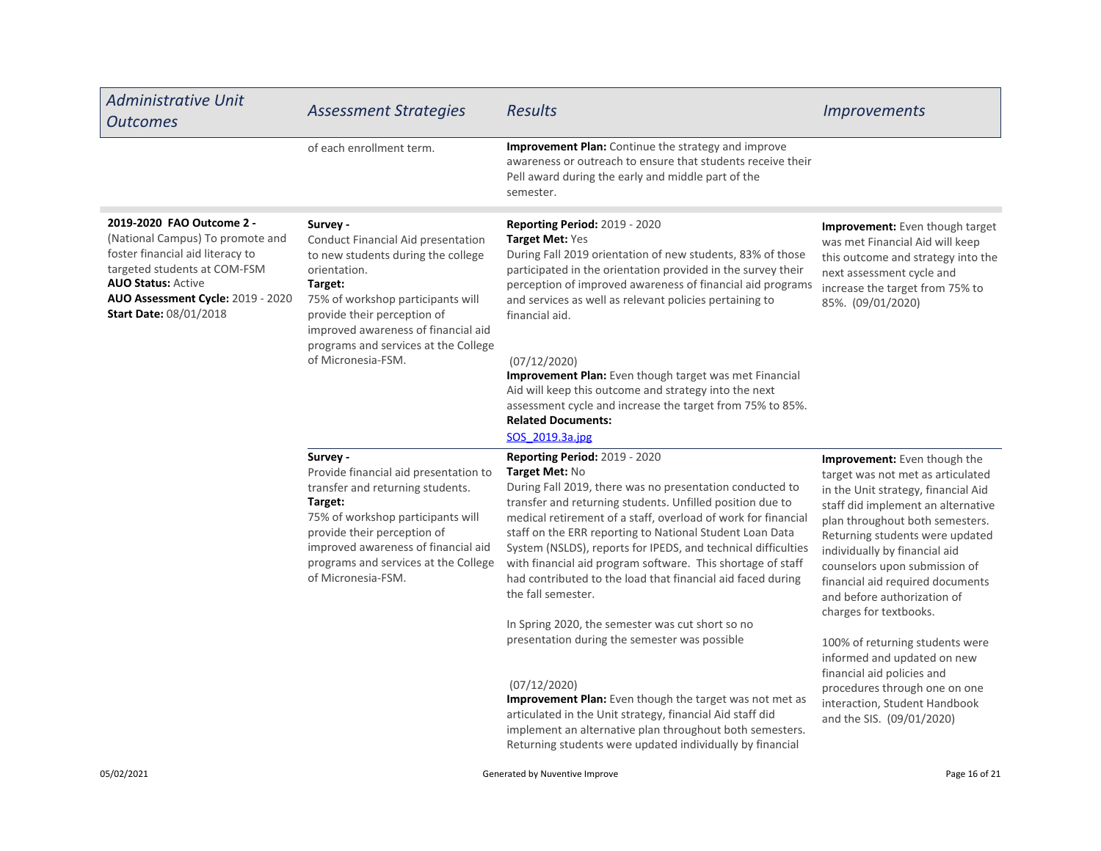| <b>Administrative Unit</b><br><b>Outcomes</b>                                                                                                                                                                                        | <b>Assessment Strategies</b>                                                                                                                                                                                                                                              | <b>Results</b>                                                                                                                                                                                                                                                                                                                                                                                                                                                                                                                                                                 | <b>Improvements</b>                                                                                                                                                                                                                                                                                                                                                                 |
|--------------------------------------------------------------------------------------------------------------------------------------------------------------------------------------------------------------------------------------|---------------------------------------------------------------------------------------------------------------------------------------------------------------------------------------------------------------------------------------------------------------------------|--------------------------------------------------------------------------------------------------------------------------------------------------------------------------------------------------------------------------------------------------------------------------------------------------------------------------------------------------------------------------------------------------------------------------------------------------------------------------------------------------------------------------------------------------------------------------------|-------------------------------------------------------------------------------------------------------------------------------------------------------------------------------------------------------------------------------------------------------------------------------------------------------------------------------------------------------------------------------------|
|                                                                                                                                                                                                                                      | of each enrollment term.                                                                                                                                                                                                                                                  | <b>Improvement Plan:</b> Continue the strategy and improve<br>awareness or outreach to ensure that students receive their<br>Pell award during the early and middle part of the<br>semester.                                                                                                                                                                                                                                                                                                                                                                                   |                                                                                                                                                                                                                                                                                                                                                                                     |
| 2019-2020 FAO Outcome 2 -<br>(National Campus) To promote and<br>foster financial aid literacy to<br>targeted students at COM-FSM<br><b>AUO Status: Active</b><br>AUO Assessment Cycle: 2019 - 2020<br><b>Start Date: 08/01/2018</b> | Survey -<br>Conduct Financial Aid presentation<br>to new students during the college<br>orientation.<br>Target:<br>75% of workshop participants will<br>provide their perception of<br>improved awareness of financial aid<br>programs and services at the College        | Reporting Period: 2019 - 2020<br>Target Met: Yes<br>During Fall 2019 orientation of new students, 83% of those<br>participated in the orientation provided in the survey their<br>perception of improved awareness of financial aid programs<br>and services as well as relevant policies pertaining to<br>financial aid.                                                                                                                                                                                                                                                      | <b>Improvement:</b> Even though target<br>was met Financial Aid will keep<br>this outcome and strategy into the<br>next assessment cycle and<br>increase the target from 75% to<br>85%. (09/01/2020)                                                                                                                                                                                |
|                                                                                                                                                                                                                                      | of Micronesia-FSM.                                                                                                                                                                                                                                                        | (07/12/2020)<br>Improvement Plan: Even though target was met Financial<br>Aid will keep this outcome and strategy into the next<br>assessment cycle and increase the target from 75% to 85%.<br><b>Related Documents:</b><br>SOS 2019.3a.jpg                                                                                                                                                                                                                                                                                                                                   |                                                                                                                                                                                                                                                                                                                                                                                     |
|                                                                                                                                                                                                                                      | Survey -<br>Provide financial aid presentation to<br>transfer and returning students.<br>Target:<br>75% of workshop participants will<br>provide their perception of<br>improved awareness of financial aid<br>programs and services at the College<br>of Micronesia-FSM. | Reporting Period: 2019 - 2020<br>Target Met: No<br>During Fall 2019, there was no presentation conducted to<br>transfer and returning students. Unfilled position due to<br>medical retirement of a staff, overload of work for financial<br>staff on the ERR reporting to National Student Loan Data<br>System (NSLDS), reports for IPEDS, and technical difficulties<br>with financial aid program software. This shortage of staff<br>had contributed to the load that financial aid faced during<br>the fall semester.<br>In Spring 2020, the semester was cut short so no | Improvement: Even though the<br>target was not met as articulated<br>in the Unit strategy, financial Aid<br>staff did implement an alternative<br>plan throughout both semesters.<br>Returning students were updated<br>individually by financial aid<br>counselors upon submission of<br>financial aid required documents<br>and before authorization of<br>charges for textbooks. |
|                                                                                                                                                                                                                                      |                                                                                                                                                                                                                                                                           | presentation during the semester was possible<br>(07/12/2020)<br>Improvement Plan: Even though the target was not met as<br>articulated in the Unit strategy, financial Aid staff did<br>implement an alternative plan throughout both semesters.<br>Returning students were updated individually by financial                                                                                                                                                                                                                                                                 | 100% of returning students were<br>informed and updated on new<br>financial aid policies and<br>procedures through one on one<br>interaction, Student Handbook<br>and the SIS. (09/01/2020)                                                                                                                                                                                         |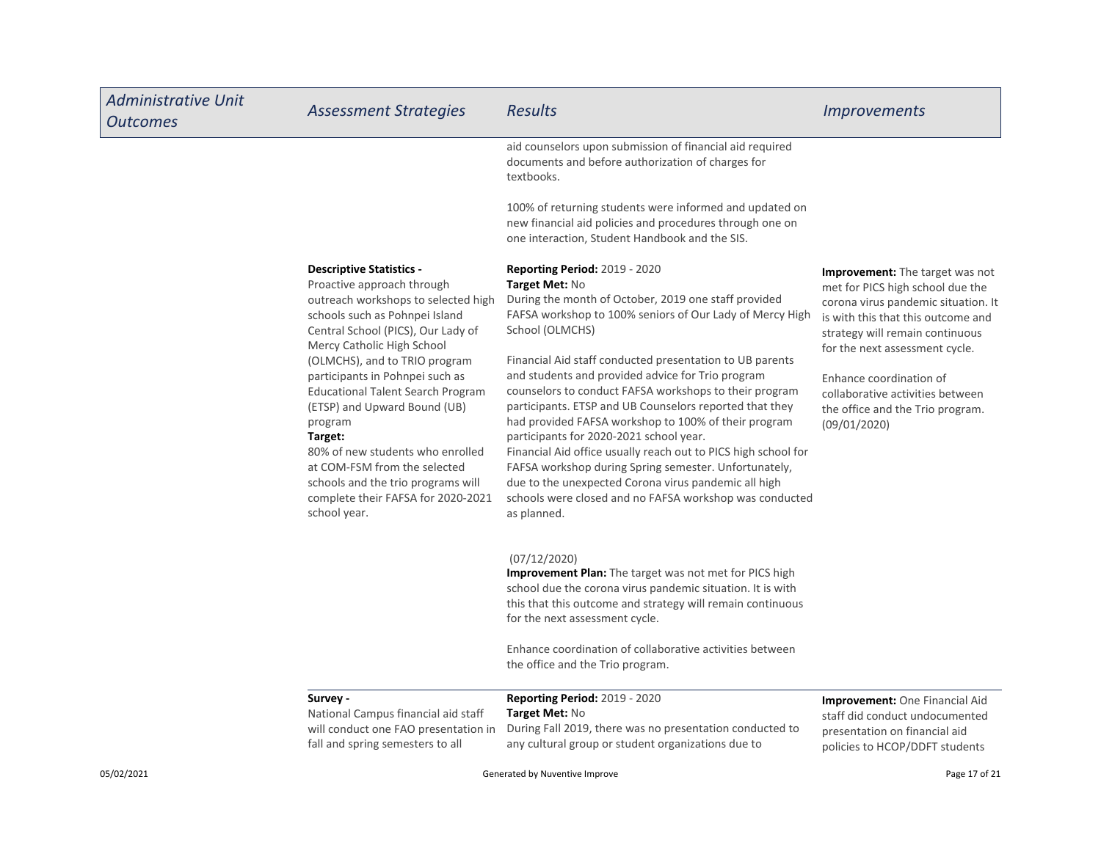| <b>Administrative Unit</b><br><b>Outcomes</b> | <b>Assessment Strategies</b>                                                                                                                                                                                                                                                                                                                                                                                                                                                                                                                     | <b>Results</b>                                                                                                                                                                                                                                                                                                                                                                                                                                                                                                                                                                                                                                                                                                                                                                                      | <i><u><b>Improvements</b></u></i>                                                                                                                                                                                                                                                                                                               |
|-----------------------------------------------|--------------------------------------------------------------------------------------------------------------------------------------------------------------------------------------------------------------------------------------------------------------------------------------------------------------------------------------------------------------------------------------------------------------------------------------------------------------------------------------------------------------------------------------------------|-----------------------------------------------------------------------------------------------------------------------------------------------------------------------------------------------------------------------------------------------------------------------------------------------------------------------------------------------------------------------------------------------------------------------------------------------------------------------------------------------------------------------------------------------------------------------------------------------------------------------------------------------------------------------------------------------------------------------------------------------------------------------------------------------------|-------------------------------------------------------------------------------------------------------------------------------------------------------------------------------------------------------------------------------------------------------------------------------------------------------------------------------------------------|
|                                               |                                                                                                                                                                                                                                                                                                                                                                                                                                                                                                                                                  | aid counselors upon submission of financial aid required<br>documents and before authorization of charges for<br>textbooks.                                                                                                                                                                                                                                                                                                                                                                                                                                                                                                                                                                                                                                                                         |                                                                                                                                                                                                                                                                                                                                                 |
|                                               |                                                                                                                                                                                                                                                                                                                                                                                                                                                                                                                                                  | 100% of returning students were informed and updated on<br>new financial aid policies and procedures through one on<br>one interaction, Student Handbook and the SIS.                                                                                                                                                                                                                                                                                                                                                                                                                                                                                                                                                                                                                               |                                                                                                                                                                                                                                                                                                                                                 |
|                                               | <b>Descriptive Statistics -</b><br>Proactive approach through<br>outreach workshops to selected high<br>schools such as Pohnpei Island<br>Central School (PICS), Our Lady of<br>Mercy Catholic High School<br>(OLMCHS), and to TRIO program<br>participants in Pohnpei such as<br><b>Educational Talent Search Program</b><br>(ETSP) and Upward Bound (UB)<br>program<br>Target:<br>80% of new students who enrolled<br>at COM-FSM from the selected<br>schools and the trio programs will<br>complete their FAFSA for 2020-2021<br>school year. | <b>Reporting Period: 2019 - 2020</b><br>Target Met: No<br>During the month of October, 2019 one staff provided<br>FAFSA workshop to 100% seniors of Our Lady of Mercy High<br>School (OLMCHS)<br>Financial Aid staff conducted presentation to UB parents<br>and students and provided advice for Trio program<br>counselors to conduct FAFSA workshops to their program<br>participants. ETSP and UB Counselors reported that they<br>had provided FAFSA workshop to 100% of their program<br>participants for 2020-2021 school year.<br>Financial Aid office usually reach out to PICS high school for<br>FAFSA workshop during Spring semester. Unfortunately,<br>due to the unexpected Corona virus pandemic all high<br>schools were closed and no FAFSA workshop was conducted<br>as planned. | <b>Improvement:</b> The target was not<br>met for PICS high school due the<br>corona virus pandemic situation. It<br>is with this that this outcome and<br>strategy will remain continuous<br>for the next assessment cycle.<br>Enhance coordination of<br>collaborative activities between<br>the office and the Trio program.<br>(09/01/2020) |
|                                               |                                                                                                                                                                                                                                                                                                                                                                                                                                                                                                                                                  | (07/12/2020)<br>Improvement Plan: The target was not met for PICS high<br>school due the corona virus pandemic situation. It is with<br>this that this outcome and strategy will remain continuous<br>for the next assessment cycle.<br>Enhance coordination of collaborative activities between<br>the office and the Trio program.                                                                                                                                                                                                                                                                                                                                                                                                                                                                |                                                                                                                                                                                                                                                                                                                                                 |
|                                               | Survey -<br>National Campus financial aid staff<br>will conduct one FAO presentation in<br>fall and spring semesters to all                                                                                                                                                                                                                                                                                                                                                                                                                      | <b>Reporting Period: 2019 - 2020</b><br>Target Met: No<br>During Fall 2019, there was no presentation conducted to<br>any cultural group or student organizations due to                                                                                                                                                                                                                                                                                                                                                                                                                                                                                                                                                                                                                            | <b>Improvement:</b> One Financial Aid<br>staff did conduct undocumented<br>presentation on financial aid<br>policies to HCOP/DDFT students                                                                                                                                                                                                      |
| 05/02/2021                                    | Generated by Nuventive Improve                                                                                                                                                                                                                                                                                                                                                                                                                                                                                                                   |                                                                                                                                                                                                                                                                                                                                                                                                                                                                                                                                                                                                                                                                                                                                                                                                     | Page 17 of 21                                                                                                                                                                                                                                                                                                                                   |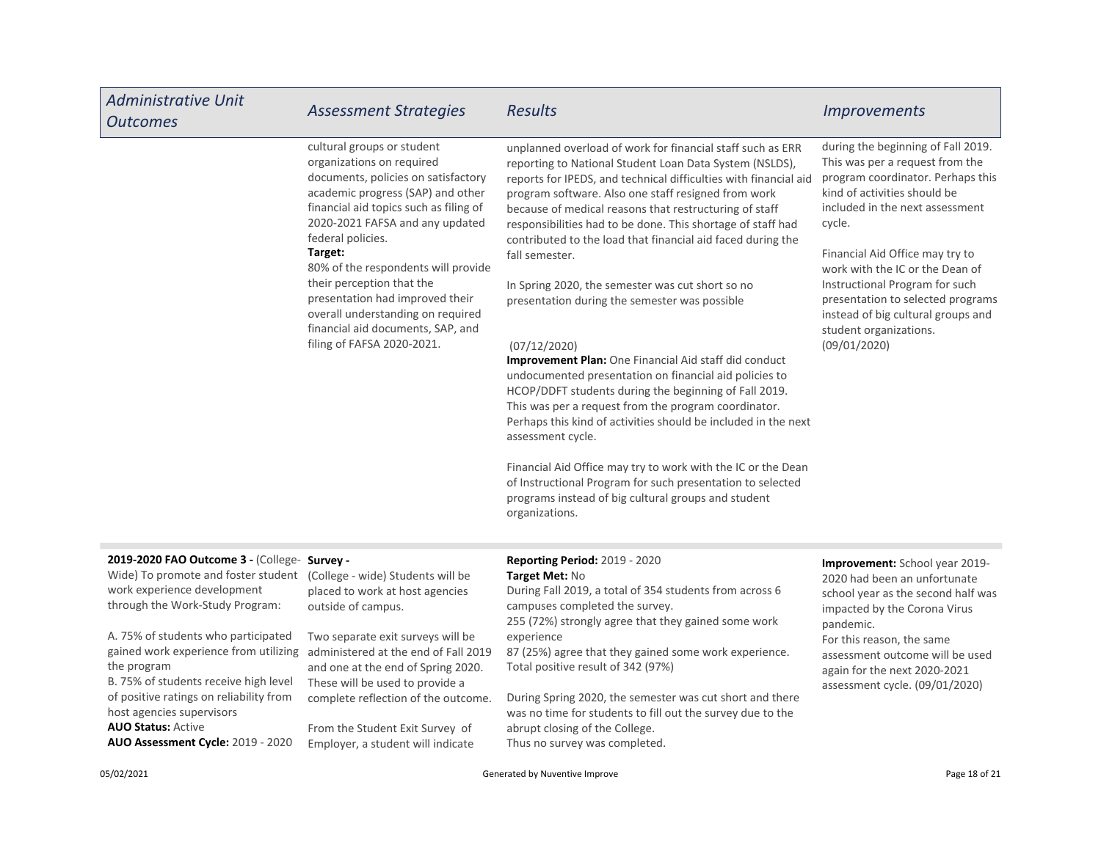| <b>Administrative Unit</b><br><b>Outcomes</b>                                                                                                                                                                                                                                                                                                                                                                                                                                                                  | <b>Assessment Strategies</b>                                                                                                                                                                                                                                                                                                                                                                                                                                    | <b>Results</b>                                                                                                                                                                                                                                                                                                                                                                                                                                                                                                                                                                                                                                                                                                                                                                                                                                                                                                                                                                                                                                                                                                    | <b>Improvements</b>                                                                                                                                                                                                                                                                                                                                                                                                  |
|----------------------------------------------------------------------------------------------------------------------------------------------------------------------------------------------------------------------------------------------------------------------------------------------------------------------------------------------------------------------------------------------------------------------------------------------------------------------------------------------------------------|-----------------------------------------------------------------------------------------------------------------------------------------------------------------------------------------------------------------------------------------------------------------------------------------------------------------------------------------------------------------------------------------------------------------------------------------------------------------|-------------------------------------------------------------------------------------------------------------------------------------------------------------------------------------------------------------------------------------------------------------------------------------------------------------------------------------------------------------------------------------------------------------------------------------------------------------------------------------------------------------------------------------------------------------------------------------------------------------------------------------------------------------------------------------------------------------------------------------------------------------------------------------------------------------------------------------------------------------------------------------------------------------------------------------------------------------------------------------------------------------------------------------------------------------------------------------------------------------------|----------------------------------------------------------------------------------------------------------------------------------------------------------------------------------------------------------------------------------------------------------------------------------------------------------------------------------------------------------------------------------------------------------------------|
|                                                                                                                                                                                                                                                                                                                                                                                                                                                                                                                | cultural groups or student<br>organizations on required<br>documents, policies on satisfactory<br>academic progress (SAP) and other<br>financial aid topics such as filing of<br>2020-2021 FAFSA and any updated<br>federal policies.<br>Target:<br>80% of the respondents will provide<br>their perception that the<br>presentation had improved their<br>overall understanding on required<br>financial aid documents, SAP, and<br>filing of FAFSA 2020-2021. | unplanned overload of work for financial staff such as ERR<br>reporting to National Student Loan Data System (NSLDS),<br>reports for IPEDS, and technical difficulties with financial aid<br>program software. Also one staff resigned from work<br>because of medical reasons that restructuring of staff<br>responsibilities had to be done. This shortage of staff had<br>contributed to the load that financial aid faced during the<br>fall semester.<br>In Spring 2020, the semester was cut short so no<br>presentation during the semester was possible<br>(07/12/2020)<br>Improvement Plan: One Financial Aid staff did conduct<br>undocumented presentation on financial aid policies to<br>HCOP/DDFT students during the beginning of Fall 2019.<br>This was per a request from the program coordinator.<br>Perhaps this kind of activities should be included in the next<br>assessment cycle.<br>Financial Aid Office may try to work with the IC or the Dean<br>of Instructional Program for such presentation to selected<br>programs instead of big cultural groups and student<br>organizations. | during the beginning of Fall 2019.<br>This was per a request from the<br>program coordinator. Perhaps this<br>kind of activities should be<br>included in the next assessment<br>cycle.<br>Financial Aid Office may try to<br>work with the IC or the Dean of<br>Instructional Program for such<br>presentation to selected programs<br>instead of big cultural groups and<br>student organizations.<br>(09/01/2020) |
| 2019-2020 FAO Outcome 3 - (College- Survey -<br>Wide) To promote and foster student (College - wide) Students will be<br>work experience development<br>through the Work-Study Program:<br>A. 75% of students who participated<br>gained work experience from utilizing administered at the end of Fall 2019<br>the program<br>B. 75% of students receive high level<br>of positive ratings on reliability from<br>host agencies supervisors<br><b>AUO Status: Active</b><br>AUO Assessment Cycle: 2019 - 2020 | placed to work at host agencies<br>outside of campus.<br>Two separate exit surveys will be<br>and one at the end of Spring 2020.<br>These will be used to provide a<br>complete reflection of the outcome.<br>From the Student Exit Survey of<br>Employer, a student will indicate                                                                                                                                                                              | <b>Reporting Period: 2019 - 2020</b><br>Target Met: No<br>During Fall 2019, a total of 354 students from across 6<br>campuses completed the survey.<br>255 (72%) strongly agree that they gained some work<br>experience<br>87 (25%) agree that they gained some work experience.<br>Total positive result of 342 (97%)<br>During Spring 2020, the semester was cut short and there<br>was no time for students to fill out the survey due to the<br>abrupt closing of the College.<br>Thus no survey was completed.                                                                                                                                                                                                                                                                                                                                                                                                                                                                                                                                                                                              | <b>Improvement:</b> School year 2019-<br>2020 had been an unfortunate<br>school year as the second half was<br>impacted by the Corona Virus<br>pandemic.<br>For this reason, the same<br>assessment outcome will be used<br>again for the next 2020-2021<br>assessment cycle. (09/01/2020)                                                                                                                           |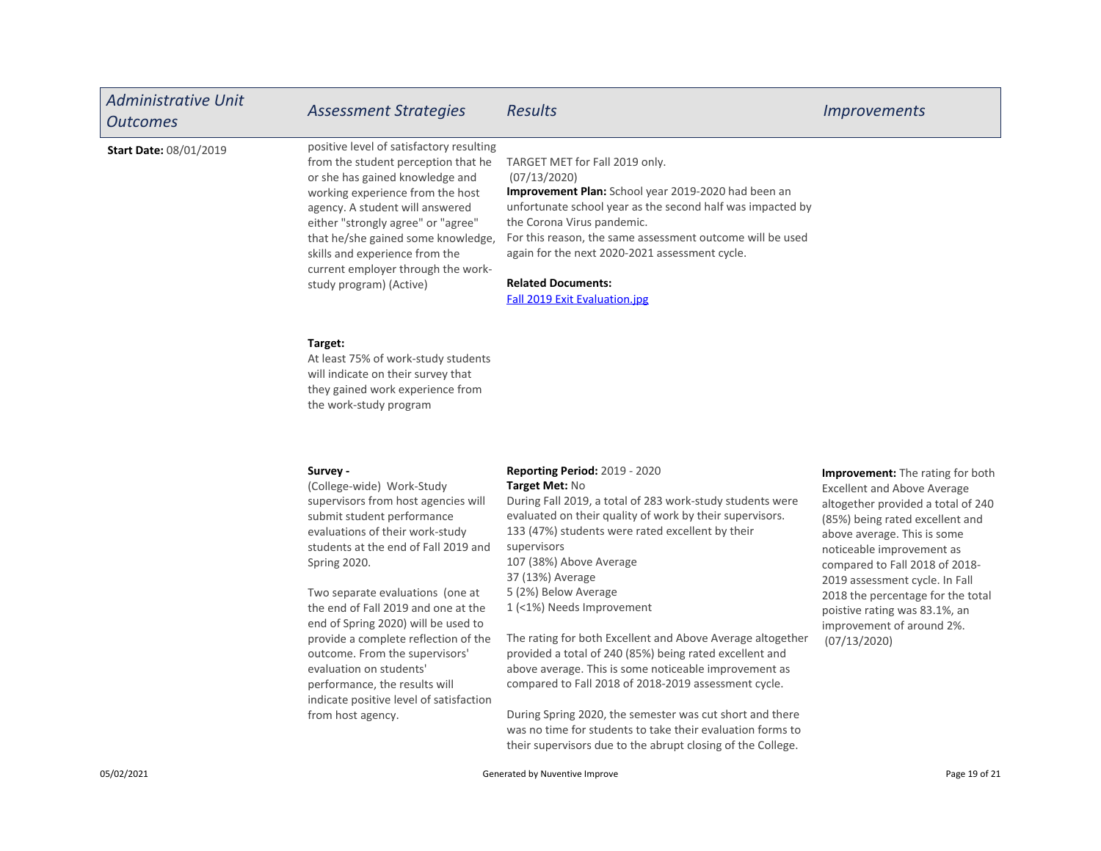| <b>Administrative Unit</b><br><b>Outcomes</b> | <b>Assessment Strategies</b>                                                                                                                                                                                                                                                                                                                                                                                                                                                                                                  | <b>Results</b>                                                                                                                                                                                                                                                                                                                                                                                                                                                                                                                                                                                                                                                                                                             | <i><u><b>Improvements</b></u></i>                                                                                                                                                                                                                                                                                                                                                                  |
|-----------------------------------------------|-------------------------------------------------------------------------------------------------------------------------------------------------------------------------------------------------------------------------------------------------------------------------------------------------------------------------------------------------------------------------------------------------------------------------------------------------------------------------------------------------------------------------------|----------------------------------------------------------------------------------------------------------------------------------------------------------------------------------------------------------------------------------------------------------------------------------------------------------------------------------------------------------------------------------------------------------------------------------------------------------------------------------------------------------------------------------------------------------------------------------------------------------------------------------------------------------------------------------------------------------------------------|----------------------------------------------------------------------------------------------------------------------------------------------------------------------------------------------------------------------------------------------------------------------------------------------------------------------------------------------------------------------------------------------------|
| <b>Start Date: 08/01/2019</b>                 | positive level of satisfactory resulting<br>from the student perception that he<br>or she has gained knowledge and<br>working experience from the host<br>agency. A student will answered<br>either "strongly agree" or "agree"<br>that he/she gained some knowledge,<br>skills and experience from the<br>current employer through the work-<br>study program) (Active)                                                                                                                                                      | TARGET MET for Fall 2019 only.<br>(07/13/2020)<br>Improvement Plan: School year 2019-2020 had been an<br>unfortunate school year as the second half was impacted by<br>the Corona Virus pandemic.<br>For this reason, the same assessment outcome will be used<br>again for the next 2020-2021 assessment cycle.<br><b>Related Documents:</b><br>Fall 2019 Exit Evaluation.jpg                                                                                                                                                                                                                                                                                                                                             |                                                                                                                                                                                                                                                                                                                                                                                                    |
|                                               | Target:<br>At least 75% of work-study students<br>will indicate on their survey that<br>they gained work experience from<br>the work-study program                                                                                                                                                                                                                                                                                                                                                                            |                                                                                                                                                                                                                                                                                                                                                                                                                                                                                                                                                                                                                                                                                                                            |                                                                                                                                                                                                                                                                                                                                                                                                    |
|                                               | Survey -<br>(College-wide) Work-Study<br>supervisors from host agencies will<br>submit student performance<br>evaluations of their work-study<br>students at the end of Fall 2019 and<br>Spring 2020.<br>Two separate evaluations (one at<br>the end of Fall 2019 and one at the<br>end of Spring 2020) will be used to<br>provide a complete reflection of the<br>outcome. From the supervisors'<br>evaluation on students'<br>performance, the results will<br>indicate positive level of satisfaction<br>from host agency. | <b>Reporting Period: 2019 - 2020</b><br>Target Met: No<br>During Fall 2019, a total of 283 work-study students were<br>evaluated on their quality of work by their supervisors.<br>133 (47%) students were rated excellent by their<br>supervisors<br>107 (38%) Above Average<br>37 (13%) Average<br>5 (2%) Below Average<br>1 (<1%) Needs Improvement<br>The rating for both Excellent and Above Average altogether<br>provided a total of 240 (85%) being rated excellent and<br>above average. This is some noticeable improvement as<br>compared to Fall 2018 of 2018-2019 assessment cycle.<br>During Spring 2020, the semester was cut short and there<br>was no time for students to take their evaluation forms to | Improvement: The rating for both<br><b>Excellent and Above Average</b><br>altogether provided a total of 240<br>(85%) being rated excellent and<br>above average. This is some<br>noticeable improvement as<br>compared to Fall 2018 of 2018-<br>2019 assessment cycle. In Fall<br>2018 the percentage for the total<br>poistive rating was 83.1%, an<br>improvement of around 2%.<br>(07/13/2020) |

their supervisors due to the abrupt closing of the College.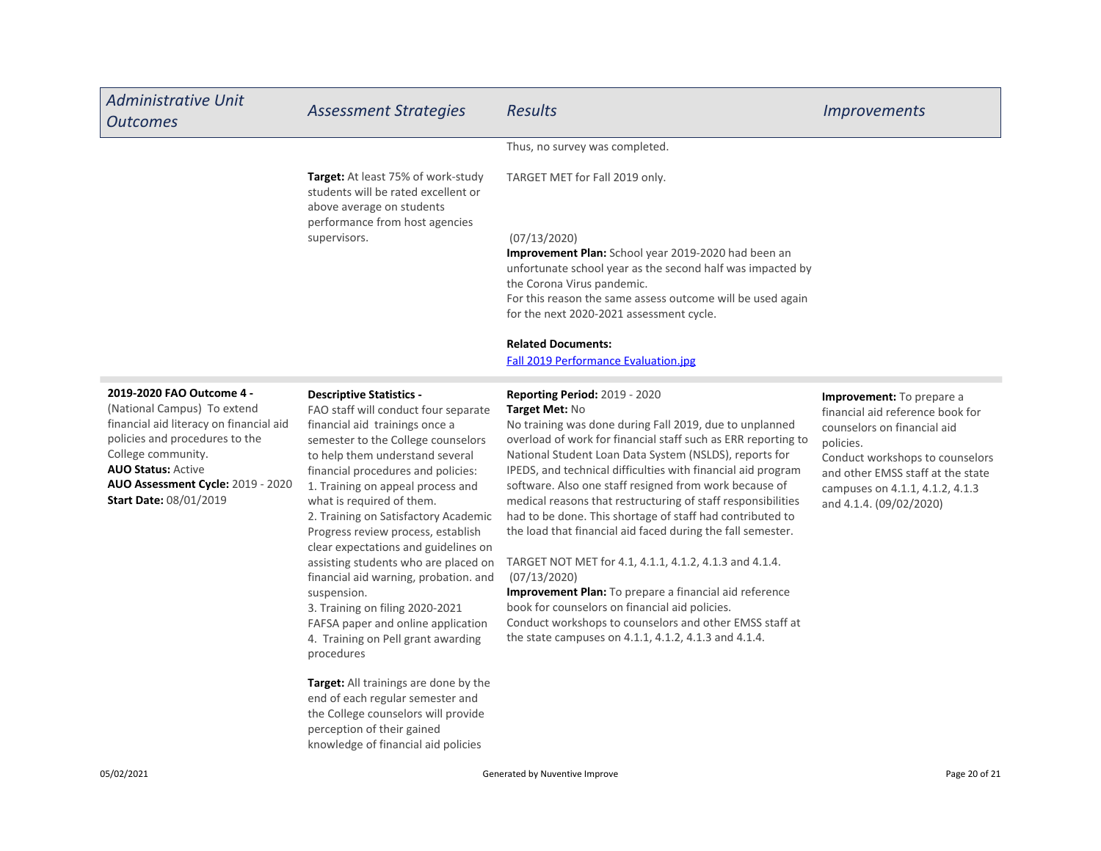| <b>Administrative Unit</b><br><b>Outcomes</b>                                                                                                                                                                                                                         | <b>Assessment Strategies</b>                                                                                                                                                                                                                                                                                                                                                                                                                                                                                                                                                                                                                                                                                                                                                                                                                  | <b>Results</b>                                                                                                                                                                                                                                                                                                                                                                                                                                                                                                                                                                                                                                                                                                                                                                                                                                                              | <b>Improvements</b>                                                                                                                                                                                                                             |
|-----------------------------------------------------------------------------------------------------------------------------------------------------------------------------------------------------------------------------------------------------------------------|-----------------------------------------------------------------------------------------------------------------------------------------------------------------------------------------------------------------------------------------------------------------------------------------------------------------------------------------------------------------------------------------------------------------------------------------------------------------------------------------------------------------------------------------------------------------------------------------------------------------------------------------------------------------------------------------------------------------------------------------------------------------------------------------------------------------------------------------------|-----------------------------------------------------------------------------------------------------------------------------------------------------------------------------------------------------------------------------------------------------------------------------------------------------------------------------------------------------------------------------------------------------------------------------------------------------------------------------------------------------------------------------------------------------------------------------------------------------------------------------------------------------------------------------------------------------------------------------------------------------------------------------------------------------------------------------------------------------------------------------|-------------------------------------------------------------------------------------------------------------------------------------------------------------------------------------------------------------------------------------------------|
|                                                                                                                                                                                                                                                                       |                                                                                                                                                                                                                                                                                                                                                                                                                                                                                                                                                                                                                                                                                                                                                                                                                                               | Thus, no survey was completed.                                                                                                                                                                                                                                                                                                                                                                                                                                                                                                                                                                                                                                                                                                                                                                                                                                              |                                                                                                                                                                                                                                                 |
|                                                                                                                                                                                                                                                                       | Target: At least 75% of work-study<br>students will be rated excellent or<br>above average on students                                                                                                                                                                                                                                                                                                                                                                                                                                                                                                                                                                                                                                                                                                                                        | TARGET MET for Fall 2019 only.                                                                                                                                                                                                                                                                                                                                                                                                                                                                                                                                                                                                                                                                                                                                                                                                                                              |                                                                                                                                                                                                                                                 |
|                                                                                                                                                                                                                                                                       | performance from host agencies<br>supervisors.                                                                                                                                                                                                                                                                                                                                                                                                                                                                                                                                                                                                                                                                                                                                                                                                | (07/13/2020)<br><b>Improvement Plan:</b> School year 2019-2020 had been an<br>unfortunate school year as the second half was impacted by<br>the Corona Virus pandemic.<br>For this reason the same assess outcome will be used again<br>for the next 2020-2021 assessment cycle.                                                                                                                                                                                                                                                                                                                                                                                                                                                                                                                                                                                            |                                                                                                                                                                                                                                                 |
|                                                                                                                                                                                                                                                                       |                                                                                                                                                                                                                                                                                                                                                                                                                                                                                                                                                                                                                                                                                                                                                                                                                                               | <b>Related Documents:</b><br><b>Fall 2019 Performance Evaluation.jpg</b>                                                                                                                                                                                                                                                                                                                                                                                                                                                                                                                                                                                                                                                                                                                                                                                                    |                                                                                                                                                                                                                                                 |
| 2019-2020 FAO Outcome 4 -<br>(National Campus) To extend<br>financial aid literacy on financial aid<br>policies and procedures to the<br>College community.<br><b>AUO Status: Active</b><br><b>AUO Assessment Cycle: 2019 - 2020</b><br><b>Start Date: 08/01/2019</b> | <b>Descriptive Statistics -</b><br>FAO staff will conduct four separate<br>financial aid trainings once a<br>semester to the College counselors<br>to help them understand several<br>financial procedures and policies:<br>1. Training on appeal process and<br>what is required of them.<br>2. Training on Satisfactory Academic<br>Progress review process, establish<br>clear expectations and guidelines on<br>assisting students who are placed on<br>financial aid warning, probation. and<br>suspension.<br>3. Training on filing 2020-2021<br>FAFSA paper and online application<br>4. Training on Pell grant awarding<br>procedures<br><b>Target:</b> All trainings are done by the<br>end of each regular semester and<br>the College counselors will provide<br>perception of their gained<br>knowledge of financial aid policies | <b>Reporting Period: 2019 - 2020</b><br>Target Met: No<br>No training was done during Fall 2019, due to unplanned<br>overload of work for financial staff such as ERR reporting to<br>National Student Loan Data System (NSLDS), reports for<br>IPEDS, and technical difficulties with financial aid program<br>software. Also one staff resigned from work because of<br>medical reasons that restructuring of staff responsibilities<br>had to be done. This shortage of staff had contributed to<br>the load that financial aid faced during the fall semester.<br>TARGET NOT MET for 4.1, 4.1.1, 4.1.2, 4.1.3 and 4.1.4.<br>(07/13/2020)<br>Improvement Plan: To prepare a financial aid reference<br>book for counselors on financial aid policies.<br>Conduct workshops to counselors and other EMSS staff at<br>the state campuses on 4.1.1, 4.1.2, 4.1.3 and 4.1.4. | Improvement: To prepare a<br>financial aid reference book for<br>counselors on financial aid<br>policies.<br>Conduct workshops to counselors<br>and other EMSS staff at the state<br>campuses on 4.1.1, 4.1.2, 4.1.3<br>and 4.1.4. (09/02/2020) |
| 05/02/2021                                                                                                                                                                                                                                                            | Generated by Nuventive Improve                                                                                                                                                                                                                                                                                                                                                                                                                                                                                                                                                                                                                                                                                                                                                                                                                |                                                                                                                                                                                                                                                                                                                                                                                                                                                                                                                                                                                                                                                                                                                                                                                                                                                                             | Page 20 of 21                                                                                                                                                                                                                                   |